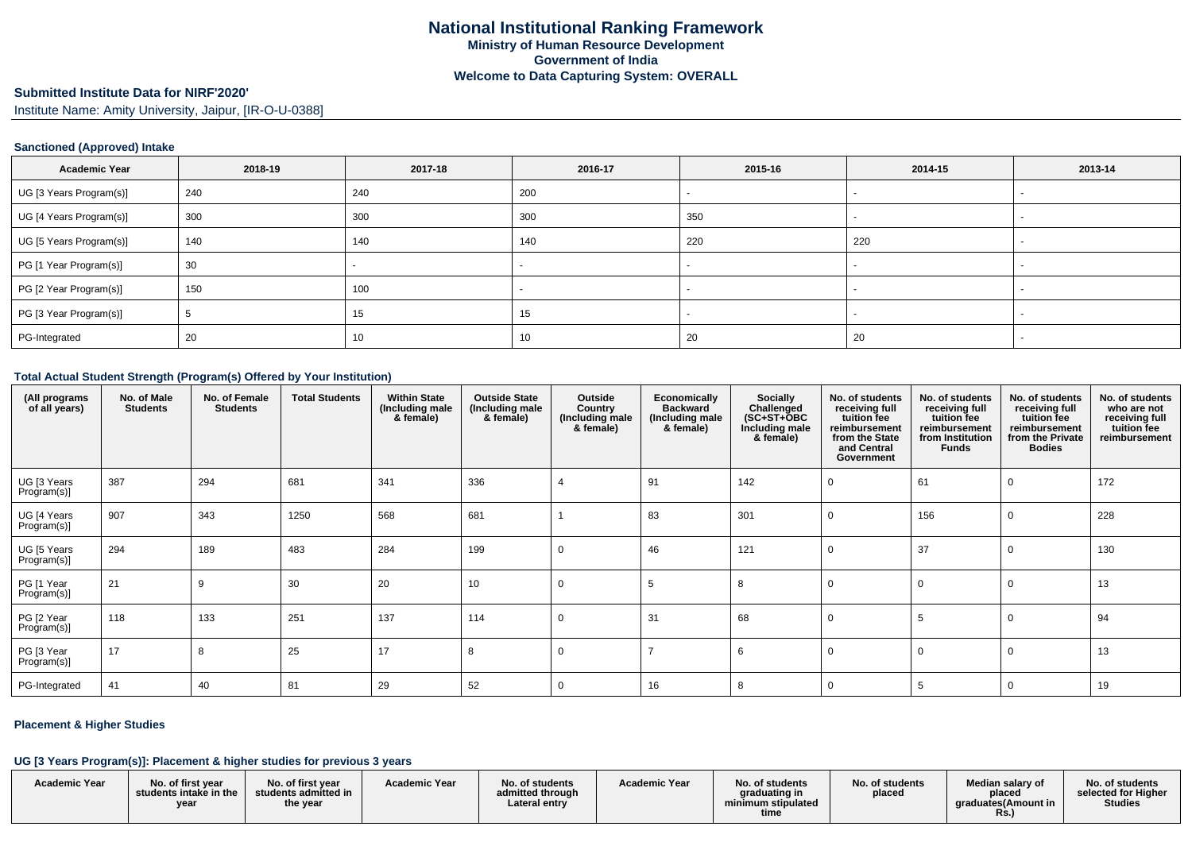#### **Submitted Institute Data for NIRF'2020'**

Institute Name: Amity University, Jaipur, [IR-O-U-0388]

### **Sanctioned (Approved) Intake**

| <b>Academic Year</b>    | 2018-19 | 2017-18 | 2016-17 | 2015-16 | 2014-15 | 2013-14 |
|-------------------------|---------|---------|---------|---------|---------|---------|
| UG [3 Years Program(s)] | 240     | 240     | 200     |         |         |         |
| UG [4 Years Program(s)] | 300     | 300     | 300     | 350     |         |         |
| UG [5 Years Program(s)] | 140     | 140     | 140     | 220     | 220     |         |
| PG [1 Year Program(s)]  | 30      |         |         |         |         |         |
| PG [2 Year Program(s)]  | 150     | 100     |         |         |         |         |
| PG [3 Year Program(s)]  |         | 15      | 15      |         |         |         |
| PG-Integrated           | 20      | 10      | -10     | 20      | 20      |         |

#### **Total Actual Student Strength (Program(s) Offered by Your Institution)**

| (All programs<br>of all years) | No. of Male<br><b>Students</b> | No. of Female<br><b>Students</b> | <b>Total Students</b> | <b>Within State</b><br>(Including male<br>& female) | <b>Outside State</b><br>(Including male<br>& female) | Outside<br>Country<br>(Including male<br>& female) | Economically<br><b>Backward</b><br>(Including male<br>& female) | Socially<br>Challenged<br>$(SC+ST+OBC)$<br>Including male<br>& female) | No. of students<br>receiving full<br>tuition fee<br>reimbursement<br>from the State<br>and Central<br>Government | No. of students<br>receiving full<br>tuition fee<br>reimbursement<br>from Institution<br><b>Funds</b> | No. of students<br>receiving full<br>tuition fee<br>reimbursement<br>from the Private<br><b>Bodies</b> | No. of students<br>who are not<br>receiving full<br>tuition fee<br>reimbursement |
|--------------------------------|--------------------------------|----------------------------------|-----------------------|-----------------------------------------------------|------------------------------------------------------|----------------------------------------------------|-----------------------------------------------------------------|------------------------------------------------------------------------|------------------------------------------------------------------------------------------------------------------|-------------------------------------------------------------------------------------------------------|--------------------------------------------------------------------------------------------------------|----------------------------------------------------------------------------------|
| UG [3 Years<br>Program(s)]     | 387                            | 294                              | 681                   | 341                                                 | 336                                                  |                                                    | 91                                                              | 142                                                                    |                                                                                                                  | 61                                                                                                    |                                                                                                        | 172                                                                              |
| UG [4 Years<br>Program(s)]     | 907                            | 343                              | 1250                  | 568                                                 | 681                                                  |                                                    | 83                                                              | 301                                                                    |                                                                                                                  | 156                                                                                                   |                                                                                                        | 228                                                                              |
| UG [5 Years<br>Program(s)]     | 294                            | 189                              | 483                   | 284                                                 | 199                                                  | 0                                                  | 46                                                              | 121                                                                    |                                                                                                                  | 37                                                                                                    |                                                                                                        | 130                                                                              |
| PG [1 Year<br>Program(s)]      | 21                             | 9                                | 30                    | 20                                                  | 10                                                   | 0                                                  | -5                                                              | 8                                                                      |                                                                                                                  |                                                                                                       |                                                                                                        | 13                                                                               |
| PG [2 Year<br>Program(s)]      | 118                            | 133                              | 251                   | 137                                                 | 114                                                  | 0                                                  | 31                                                              | 68                                                                     |                                                                                                                  |                                                                                                       |                                                                                                        | 94                                                                               |
| PG [3 Year<br>Program(s)]      | 17                             | 8                                | 25                    | 17                                                  | 8                                                    | 0                                                  |                                                                 | 6                                                                      |                                                                                                                  |                                                                                                       |                                                                                                        | 13                                                                               |
| PG-Integrated                  | 41                             | 40                               | 81                    | 29                                                  | 52                                                   | 0                                                  | 16                                                              | 8                                                                      |                                                                                                                  |                                                                                                       | 0                                                                                                      | 19                                                                               |

### **Placement & Higher Studies**

### **UG [3 Years Program(s)]: Placement & higher studies for previous 3 years**

| <b>Academic Year</b> | No. of first vear<br>students intake in the<br>vear | No. of first year<br>students admitted in<br>the year | <b>Academic Year</b> | No. of students<br>admitted through<br>Lateral entry | <b>Academic Year</b> | No. of students<br>graduating in<br>minimum stipulated | No. of students<br>placed | Median salary of<br>placed<br>araduates(Amount in | No. of students<br>selected for Higher<br><b>Studies</b> |
|----------------------|-----------------------------------------------------|-------------------------------------------------------|----------------------|------------------------------------------------------|----------------------|--------------------------------------------------------|---------------------------|---------------------------------------------------|----------------------------------------------------------|
|                      |                                                     |                                                       |                      |                                                      |                      | time                                                   |                           | <b>Rs.,</b>                                       |                                                          |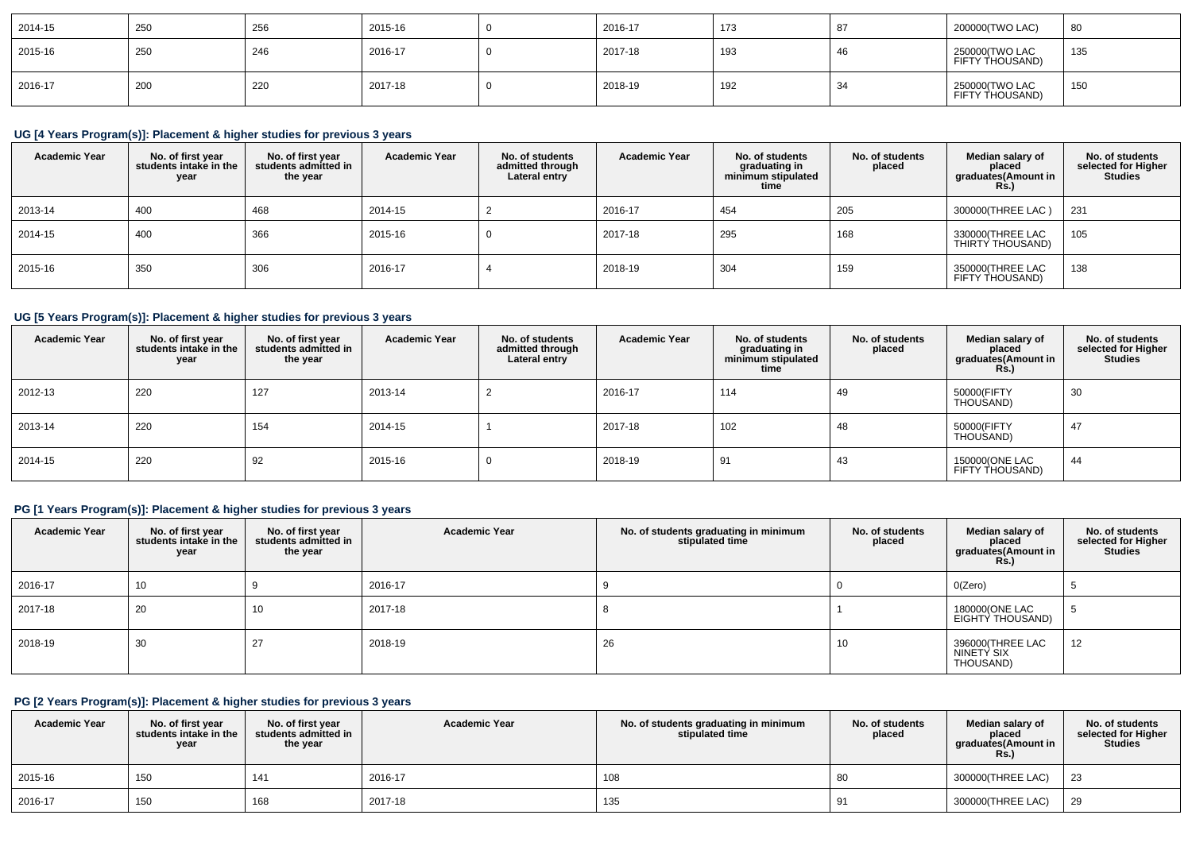| 2014-15 | 250 | 256 | 2015-16 | 2016-17 | 173 | 200000(TWO LAC)                    | 80  |
|---------|-----|-----|---------|---------|-----|------------------------------------|-----|
| 2015-16 | 250 | 246 | 2016-17 | 2017-18 | 193 | 250000 (TWO LAC<br>FIFTY THOUSAND) | 135 |
| 2016-17 | 200 | 220 | 2017-18 | 2018-19 | 192 | 250000(TWO LAC<br>FIFTY THOUSAND)  | 150 |

## **UG [4 Years Program(s)]: Placement & higher studies for previous 3 years**

| <b>Academic Year</b> | No. of first year<br>students intake in the<br>year | No. of first year<br>students admitted in<br>the year | <b>Academic Year</b> | No. of students<br>admitted through<br>Lateral entry | <b>Academic Year</b> | No. of students<br>graduating in<br>minimum stipulated<br>time | No. of students<br>placed | Median salary of<br>placed<br>graduates(Amount in<br>Rs.) | No. of students<br>selected for Higher<br><b>Studies</b> |
|----------------------|-----------------------------------------------------|-------------------------------------------------------|----------------------|------------------------------------------------------|----------------------|----------------------------------------------------------------|---------------------------|-----------------------------------------------------------|----------------------------------------------------------|
| 2013-14              | 400                                                 | 468                                                   | 2014-15              |                                                      | 2016-17              | 454                                                            | 205                       | 300000 (THREE LAC)                                        | 231                                                      |
| 2014-15              | 400                                                 | 366                                                   | 2015-16              |                                                      | 2017-18              | 295                                                            | 168                       | 330000(THREE LAC<br>THIRTY THOUSAND)                      | 105                                                      |
| 2015-16              | 350                                                 | 306                                                   | 2016-17              |                                                      | 2018-19              | 304                                                            | 159                       | 350000 (THREE LAC<br>FIFTY THOUSAND)                      | 138                                                      |

## **UG [5 Years Program(s)]: Placement & higher studies for previous 3 years**

| <b>Academic Year</b> | No. of first year<br>students intake in the<br>year | No. of first vear<br>students admitted in<br>the year | <b>Academic Year</b> | No. of students<br>admitted through<br>Lateral entry | <b>Academic Year</b> | No. of students<br>graduating in<br>minimum stipulated<br>time | No. of students<br>placed | Median salary of<br>placed<br>graduates(Amount in<br>R <sub>S</sub> | No. of students<br>selected for Higher<br><b>Studies</b> |
|----------------------|-----------------------------------------------------|-------------------------------------------------------|----------------------|------------------------------------------------------|----------------------|----------------------------------------------------------------|---------------------------|---------------------------------------------------------------------|----------------------------------------------------------|
| 2012-13              | 220                                                 | 127                                                   | 2013-14              |                                                      | 2016-17              | 114                                                            | 49                        | 50000(FIFTY<br>THOUSAND)                                            | 30                                                       |
| 2013-14              | 220                                                 | 154                                                   | 2014-15              |                                                      | 2017-18              | 102                                                            | 48                        | 50000(FIFTY<br>THOUSAND)                                            | 47                                                       |
| 2014-15              | 220                                                 | 92                                                    | 2015-16              | U                                                    | 2018-19              | 91                                                             | 43                        | 150000(ONE LAC<br>FIFTY THOUSAND)                                   | 44                                                       |

## **PG [1 Years Program(s)]: Placement & higher studies for previous 3 years**

| <b>Academic Year</b> | No. of first year<br>students intake in the<br>year | No. of first year<br>students admitted in<br>the year | <b>Academic Year</b> | No. of students graduating in minimum<br>stipulated time | No. of students<br>placed | Median salary of<br>placed<br>graduates(Amount in<br><b>Rs.)</b> | No. of students<br>selected for Higher<br><b>Studies</b> |
|----------------------|-----------------------------------------------------|-------------------------------------------------------|----------------------|----------------------------------------------------------|---------------------------|------------------------------------------------------------------|----------------------------------------------------------|
| 2016-17              | 10                                                  |                                                       | 2016-17              |                                                          |                           | O(Zero)                                                          |                                                          |
| 2017-18              | 20                                                  | 10                                                    | 2017-18              |                                                          |                           | 180000(ONE LAC<br>EIGHTY THOUSAND)                               |                                                          |
| 2018-19              | 30                                                  | 27                                                    | 2018-19              | 26                                                       | 10                        | 396000(THREE LAC<br>NINETY SIX<br>THOUSAND)                      | 12                                                       |

# **PG [2 Years Program(s)]: Placement & higher studies for previous 3 years**

| <b>Academic Year</b> | No. of first year<br>students intake in the<br>year | No. of first year<br>students admitted in<br>the year | <b>Academic Year</b> | No. of students graduating in minimum<br>stipulated time | No. of students<br>placed | Median salary of<br>placed<br>graduates(Amount in<br><b>Rs.)</b> | No. of students<br>selected for Higher<br><b>Studies</b> |
|----------------------|-----------------------------------------------------|-------------------------------------------------------|----------------------|----------------------------------------------------------|---------------------------|------------------------------------------------------------------|----------------------------------------------------------|
| 2015-16              | 150                                                 | 141                                                   | 2016-17              | 108                                                      | 80                        | 300000(THREE LAC)                                                | 23                                                       |
| 2016-17              | 150                                                 | 168                                                   | 2017-18              | 135                                                      | - 21                      | 300000(THREE LAC)                                                | -29                                                      |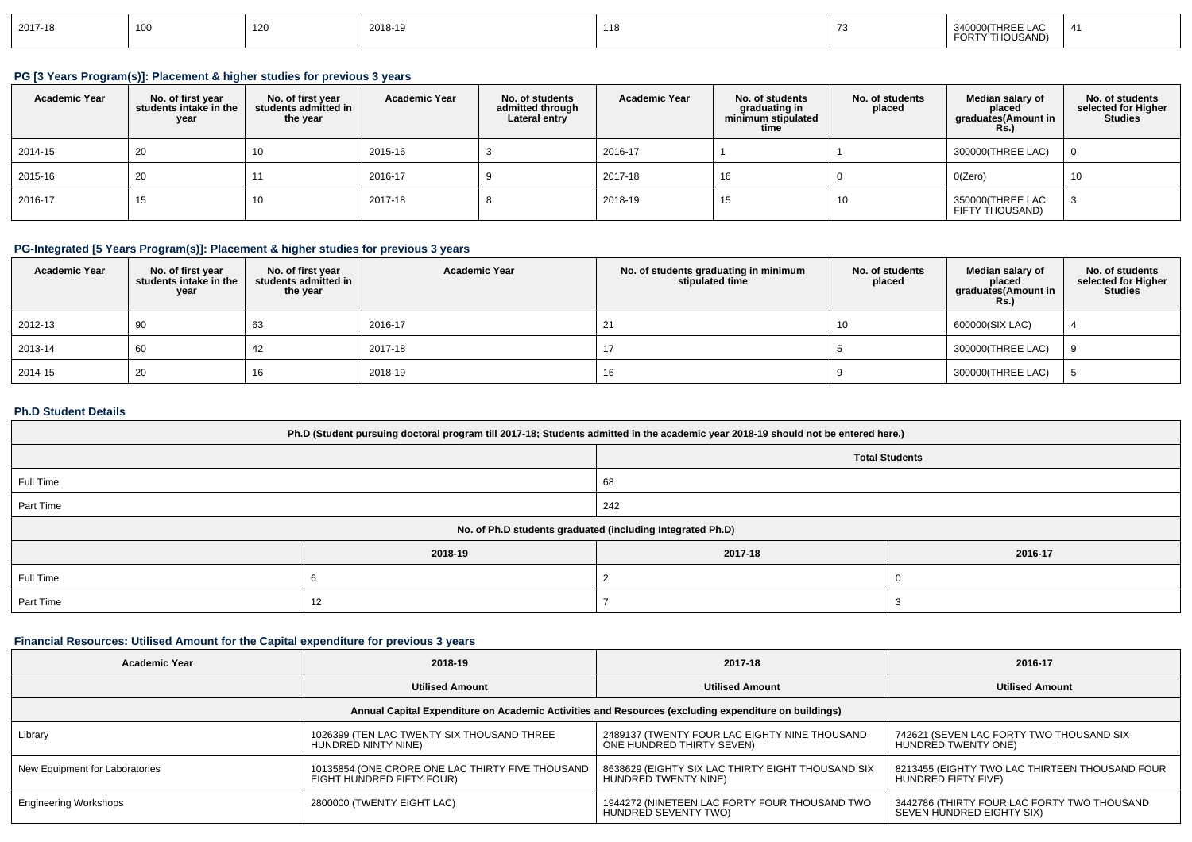| 2017-18 | 100 | 14 J | 2018-19<br>the company of the company of the company | <b>119</b><br>1 I O |  | 340000(THREE LAC<br>THOUSAND)<br>FORTY |  |
|---------|-----|------|------------------------------------------------------|---------------------|--|----------------------------------------|--|
|---------|-----|------|------------------------------------------------------|---------------------|--|----------------------------------------|--|

### **PG [3 Years Program(s)]: Placement & higher studies for previous 3 years**

| <b>Academic Year</b> | No. of first year<br>students intake in the<br>year | No. of first vear<br>students admitted in<br>the year | <b>Academic Year</b> | No. of students<br>admitted through<br>Lateral entry | <b>Academic Year</b> | No. of students<br>graduating in<br>minimum stipulated<br>time | No. of students<br>placed | Median salary of<br>placed<br>graduates(Amount in<br><b>Rs.</b> ) | No. of students<br>selected for Higher<br><b>Studies</b> |
|----------------------|-----------------------------------------------------|-------------------------------------------------------|----------------------|------------------------------------------------------|----------------------|----------------------------------------------------------------|---------------------------|-------------------------------------------------------------------|----------------------------------------------------------|
| 2014-15              | 20                                                  | 10                                                    | 2015-16              |                                                      | 2016-17              |                                                                |                           | 300000(THREE LAC)                                                 | $\overline{0}$                                           |
| 2015-16              | 20                                                  |                                                       | 2016-17              |                                                      | 2017-18              | 16                                                             |                           | O(Zero)                                                           | 10                                                       |
| 2016-17              | 15                                                  | 10                                                    | 2017-18              |                                                      | 2018-19              | 15                                                             |                           | 350000(THREE LAC<br>FIFTY THOUSAND)                               |                                                          |

## **PG-Integrated [5 Years Program(s)]: Placement & higher studies for previous 3 years**

| <b>Academic Year</b> | No. of first year<br>students intake in the<br>year | No. of first year<br>students admitted in<br>the year | <b>Academic Year</b> | No. of students graduating in minimum<br>stipulated time | No. of students<br>placed | Median salary of<br>placed<br>graduates(Amount in<br><b>Rs.)</b> | No. of students<br>selected for Higher<br><b>Studies</b> |
|----------------------|-----------------------------------------------------|-------------------------------------------------------|----------------------|----------------------------------------------------------|---------------------------|------------------------------------------------------------------|----------------------------------------------------------|
| 2012-13              | 90                                                  | 63                                                    | 2016-17              | 21                                                       | 10                        | 600000(SIX LAC)                                                  |                                                          |
| 2013-14              | 60                                                  | 42                                                    | 2017-18              |                                                          |                           | 300000(THREE LAC)                                                | Q                                                        |
| 2014-15              | 20                                                  |                                                       | 2018-19              | 16                                                       |                           | 300000(THREE LAC)                                                |                                                          |

#### **Ph.D Student Details**

| Ph.D (Student pursuing doctoral program till 2017-18; Students admitted in the academic year 2018-19 should not be entered here.) |         |                                                            |         |  |  |  |
|-----------------------------------------------------------------------------------------------------------------------------------|---------|------------------------------------------------------------|---------|--|--|--|
| <b>Total Students</b>                                                                                                             |         |                                                            |         |  |  |  |
| Full Time<br>68                                                                                                                   |         |                                                            |         |  |  |  |
| Part Time<br>242                                                                                                                  |         |                                                            |         |  |  |  |
|                                                                                                                                   |         | No. of Ph.D students graduated (including Integrated Ph.D) |         |  |  |  |
|                                                                                                                                   | 2018-19 | 2017-18                                                    | 2016-17 |  |  |  |
| Full Time                                                                                                                         |         |                                                            |         |  |  |  |
| Part Time<br>12                                                                                                                   |         |                                                            |         |  |  |  |

## **Financial Resources: Utilised Amount for the Capital expenditure for previous 3 years**

| <b>Academic Year</b>                                                                                 | 2018-19                                                                       | 2017-18                                                                    | 2016-17                                                                  |  |  |  |  |
|------------------------------------------------------------------------------------------------------|-------------------------------------------------------------------------------|----------------------------------------------------------------------------|--------------------------------------------------------------------------|--|--|--|--|
|                                                                                                      | <b>Utilised Amount</b>                                                        | <b>Utilised Amount</b>                                                     | <b>Utilised Amount</b>                                                   |  |  |  |  |
| Annual Capital Expenditure on Academic Activities and Resources (excluding expenditure on buildings) |                                                                               |                                                                            |                                                                          |  |  |  |  |
| Library                                                                                              | 1026399 (TEN LAC TWENTY SIX THOUSAND THREE<br>HUNDRED NINTY NINE)             | 2489137 (TWENTY FOUR LAC EIGHTY NINE THOUSAND<br>ONE HUNDRED THIRTY SEVEN) | 742621 (SEVEN LAC FORTY TWO THOUSAND SIX<br>HUNDRED TWENTY ONE)          |  |  |  |  |
| New Equipment for Laboratories                                                                       | 10135854 (ONE CRORE ONE LAC THIRTY FIVE THOUSAND<br>EIGHT HUNDRED FIFTY FOUR) | 8638629 (EIGHTY SIX LAC THIRTY EIGHT THOUSAND SIX<br>HUNDRED TWENTY NINE)  | 8213455 (EIGHTY TWO LAC THIRTEEN THOUSAND FOUR<br>HUNDRED FIFTY FIVE)    |  |  |  |  |
| <b>Engineering Workshops</b>                                                                         | 2800000 (TWENTY EIGHT LAC)                                                    | 1944272 (NINETEEN LAC FORTY FOUR THOUSAND TWO<br>HUNDRED SEVENTY TWO)      | 3442786 (THIRTY FOUR LAC FORTY TWO THOUSAND<br>SEVEN HUNDRED EIGHTY SIX) |  |  |  |  |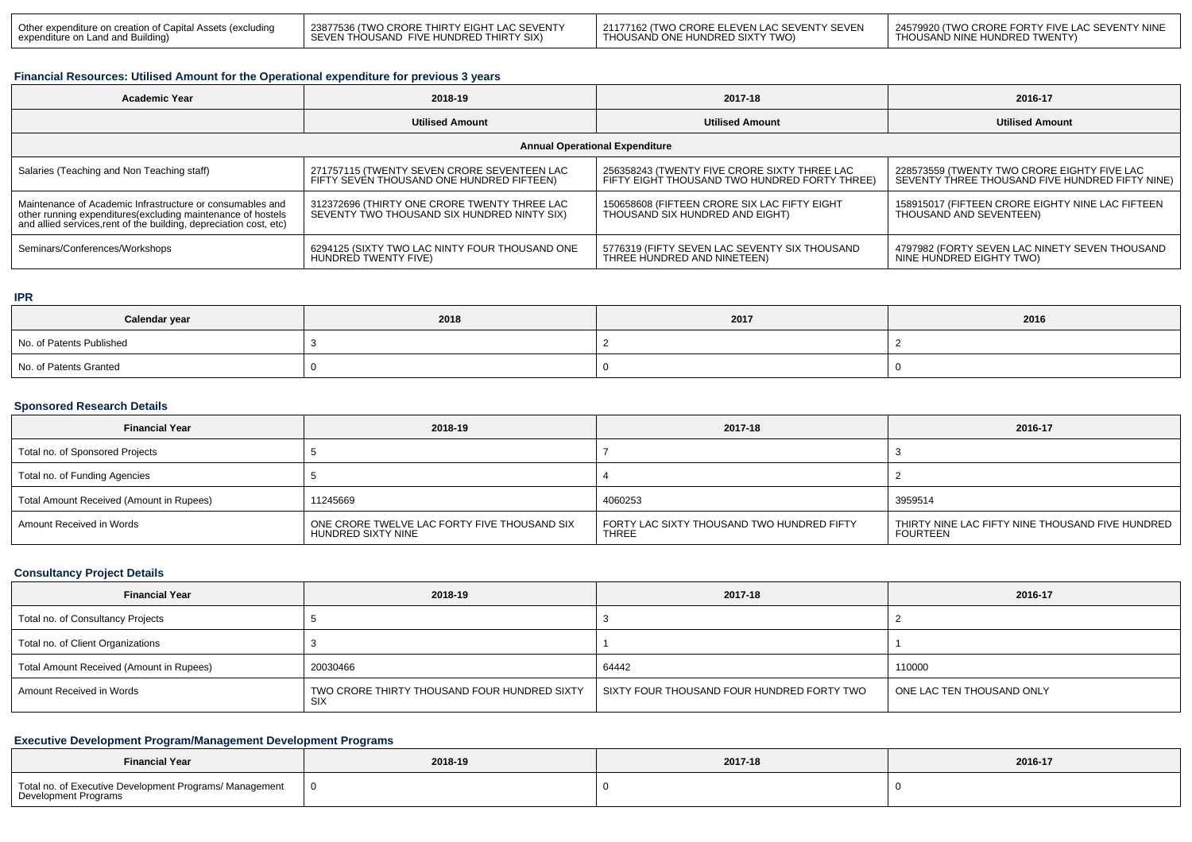| Other expenditure on creation of Capital Assets (excluding | 23877536 (TWO CRORE THIRTY EIGHT LAC SEVENTY | 1 21177162 (TWO CRORE ELEVEN LAC SEVENTY SEVEN | L24579920 (TWO CRORE FORTY FIVE LAC SEVENTY NINE |
|------------------------------------------------------------|----------------------------------------------|------------------------------------------------|--------------------------------------------------|
| expenditure on Land and Building)                          | SEVEN THOUSAND FIVE HUNDRED THIRTY SIX)      | I THOUSAND ONE HUNDRED SIXTY TWO)              | THOUSAND NINE HUNDRED TWENTY)                    |

### **Financial Resources: Utilised Amount for the Operational expenditure for previous 3 years**

| <b>Academic Year</b>                                                                                                                                                                            | 2018-19                                                                                     | 2017-18                                                                                       | 2016-17                                                                                        |  |  |  |  |  |
|-------------------------------------------------------------------------------------------------------------------------------------------------------------------------------------------------|---------------------------------------------------------------------------------------------|-----------------------------------------------------------------------------------------------|------------------------------------------------------------------------------------------------|--|--|--|--|--|
|                                                                                                                                                                                                 | <b>Utilised Amount</b>                                                                      | <b>Utilised Amount</b>                                                                        | <b>Utilised Amount</b>                                                                         |  |  |  |  |  |
| <b>Annual Operational Expenditure</b>                                                                                                                                                           |                                                                                             |                                                                                               |                                                                                                |  |  |  |  |  |
| Salaries (Teaching and Non Teaching staff)                                                                                                                                                      | 271757115 (TWENTY SEVEN CRORE SEVENTEEN LAC<br>FIFTY SEVEN THOUSAND ONE HUNDRED FIFTEEN)    | 256358243 (TWENTY FIVE CRORE SIXTY THREE LAC<br>FIFTY EIGHT THOUSAND TWO HUNDRED FORTY THREE) | 228573559 (TWENTY TWO CRORE EIGHTY FIVE LAC<br>SEVENTY THREE THOUSAND FIVE HUNDRED FIFTY NINE) |  |  |  |  |  |
| Maintenance of Academic Infrastructure or consumables and<br>other running expenditures (excluding maintenance of hostels<br>and allied services, rent of the building, depreciation cost, etc) | 312372696 (THIRTY ONE CRORE TWENTY THREE LAC<br>SEVENTY TWO THOUSAND SIX HUNDRED NINTY SIX) | 150658608 (FIFTEEN CRORE SIX LAC FIFTY EIGHT<br>THOUSAND SIX HUNDRED AND EIGHT)               | 158915017 (FIFTEEN CRORE EIGHTY NINE LAC FIFTEEN<br>THOUSAND AND SEVENTEEN)                    |  |  |  |  |  |
| Seminars/Conferences/Workshops                                                                                                                                                                  | 6294125 (SIXTY TWO LAC NINTY FOUR THOUSAND ONE<br>HUNDRED TWENTY FIVE)                      | 5776319 (FIFTY SEVEN LAC SEVENTY SIX THOUSAND<br>THREE HUNDRED AND NINETEEN)                  | 4797982 (FORTY SEVEN LAC NINETY SEVEN THOUSAND<br>NINE HUNDRED EIGHTY TWO)                     |  |  |  |  |  |

### **IPR**

| 2018<br>Calendar year    |  | 2017 | 2016 |
|--------------------------|--|------|------|
| No. of Patents Published |  |      |      |
| No. of Patents Granted   |  |      |      |

### **Sponsored Research Details**

| <b>Financial Year</b>                    | 2018-19                                                            | 2017-18                                                    | 2016-17                                                        |
|------------------------------------------|--------------------------------------------------------------------|------------------------------------------------------------|----------------------------------------------------------------|
| Total no. of Sponsored Projects          |                                                                    |                                                            |                                                                |
| Total no. of Funding Agencies            |                                                                    |                                                            |                                                                |
| Total Amount Received (Amount in Rupees) | 11245669                                                           | 4060253                                                    | 3959514                                                        |
| Amount Received in Words                 | ONE CRORE TWELVE LAC FORTY FIVE THOUSAND SIX<br>HUNDRED SIXTY NINE | FORTY LAC SIXTY THOUSAND TWO HUNDRED FIFTY<br><b>THREE</b> | THIRTY NINE LAC FIFTY NINE THOUSAND FIVE HUNDRED  <br>FOURTEEN |

### **Consultancy Project Details**

| <b>Financial Year</b>                    | 2018-19                                             | 2017-18                                    | 2016-17                   |
|------------------------------------------|-----------------------------------------------------|--------------------------------------------|---------------------------|
| Total no. of Consultancy Projects        |                                                     |                                            |                           |
| Total no. of Client Organizations        |                                                     |                                            |                           |
| Total Amount Received (Amount in Rupees) | 20030466                                            | 64442                                      | 110000                    |
| Amount Received in Words                 | TWO CRORE THIRTY THOUSAND FOUR HUNDRED SIXTY<br>SIX | SIXTY FOUR THOUSAND FOUR HUNDRED FORTY TWO | ONE LAC TEN THOUSAND ONLY |

## **Executive Development Program/Management Development Programs**

| <b>Financial Year</b>                                                           | 2018-19 | 2017-18 | 2016-17 |
|---------------------------------------------------------------------------------|---------|---------|---------|
| Total no. of Executive Development Programs/ Management<br>Development Programs |         |         |         |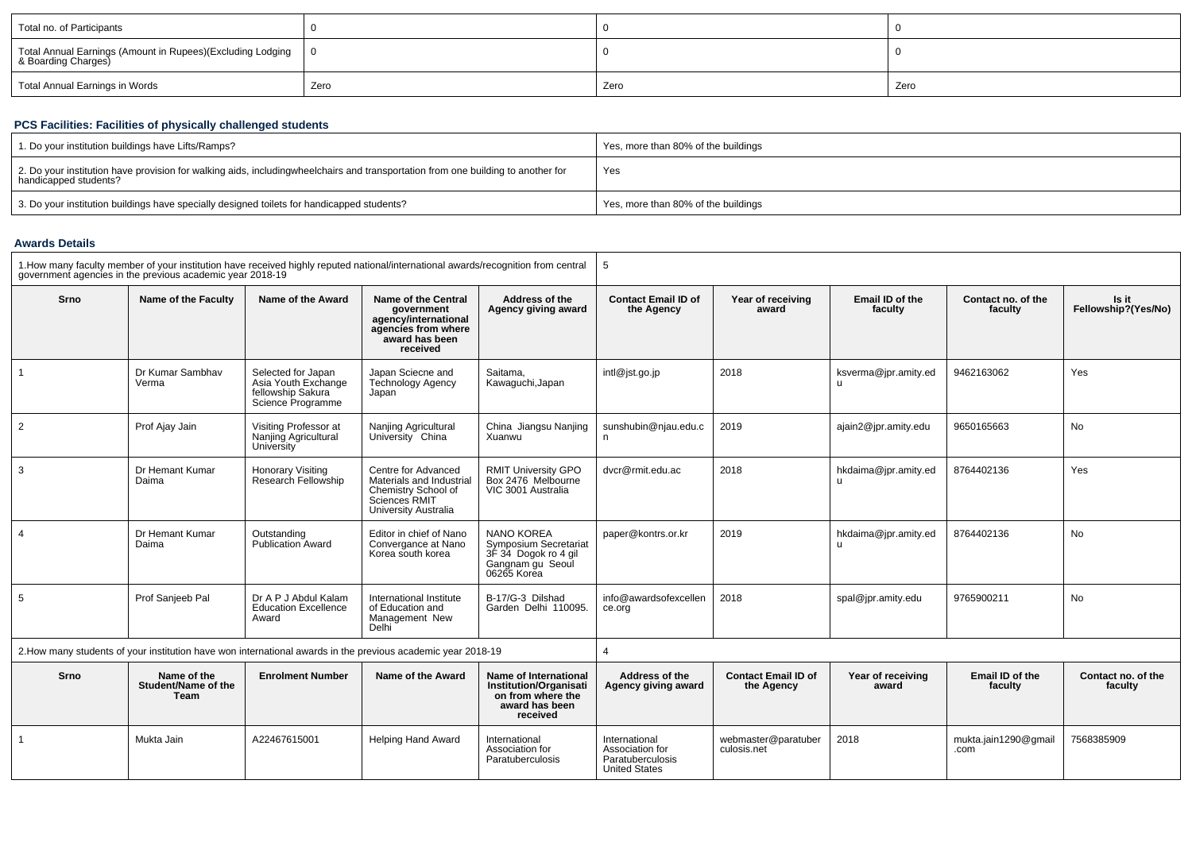| Total no. of Participants                                                              |      |      |      |
|----------------------------------------------------------------------------------------|------|------|------|
| Total Annual Earnings (Amount in Rupees) (Excluding Lodging   0<br>& Boarding Charges) |      |      |      |
| Total Annual Earnings in Words                                                         | Zero | Zero | Zero |

### **PCS Facilities: Facilities of physically challenged students**

| 1. Do your institution buildings have Lifts/Ramps?                                                                                                        | Yes, more than 80% of the buildings |
|-----------------------------------------------------------------------------------------------------------------------------------------------------------|-------------------------------------|
| 2. Do your institution have provision for walking aids, includingwheelchairs and transportation from one building to another for<br>handicapped students? | Yes                                 |
| 3. Do your institution buildings have specially designed toilets for handicapped students?                                                                | Yes, more than 80% of the buildings |

#### **Awards Details**

| 1. How many faculty member of your institution have received highly reputed national/international awards/recognition from central<br>government agencies in the previous academic vear 2018-19 |                           |                                                                                                              | 5                                                                                                               |                                                                                                              |                                          |                            |                            |                               |                              |
|-------------------------------------------------------------------------------------------------------------------------------------------------------------------------------------------------|---------------------------|--------------------------------------------------------------------------------------------------------------|-----------------------------------------------------------------------------------------------------------------|--------------------------------------------------------------------------------------------------------------|------------------------------------------|----------------------------|----------------------------|-------------------------------|------------------------------|
| Srno                                                                                                                                                                                            | Name of the Faculty       | Name of the Award                                                                                            | Name of the Central<br>government<br>agency/international<br>agencies from where<br>award has been<br>received  | Address of the<br>Agency giving award                                                                        | <b>Contact Email ID of</b><br>the Agency | Year of receiving<br>award | Email ID of the<br>faculty | Contact no. of the<br>faculty | Is it<br>Fellowship?(Yes/No) |
|                                                                                                                                                                                                 | Dr Kumar Sambhav<br>Verma | Selected for Japan<br>Asia Youth Exchange<br>fellowship Sakura<br>Science Programme                          | Japan Sciecne and<br><b>Technology Agency</b><br>Japan                                                          | Saitama,<br>Kawaguchi, Japan                                                                                 | intl@jst.go.jp                           | 2018                       | ksverma@jpr.amity.ed       | 9462163062                    | Yes                          |
| $\overline{2}$                                                                                                                                                                                  | Prof Ajay Jain            | Visiting Professor at<br>Nanjing Agricultural<br>University                                                  | Nanjing Agricultural<br>University China                                                                        | China Jiangsu Nanjing<br>Xuanwu                                                                              | sunshubin@njau.edu.c<br>n                | 2019                       | ajain2@jpr.amity.edu       | 9650165663                    | <b>No</b>                    |
| 3                                                                                                                                                                                               | Dr Hemant Kumar<br>Daima  | Honorary Visiting<br>Research Fellowship                                                                     | Centre for Advanced<br>Materials and Industrial<br>Chemistry School of<br>Sciences RMIT<br>University Australia | RMIT University GPO<br>Box 2476 Melbourne<br>VIC 3001 Australia                                              | dvcr@rmit.edu.ac                         | 2018                       | hkdaima@jpr.amity.ed       | 8764402136                    | Yes                          |
|                                                                                                                                                                                                 | Dr Hemant Kumar<br>Daima  | Outstanding<br>Publication Award                                                                             | Editor in chief of Nano<br>Convergance at Nano<br>Korea south korea                                             | <b>NANO KOREA</b><br><b>Symposium Secretariat</b><br>3F 34 Dogok ro 4 gil<br>Gangnam gu Seoul<br>06265 Korea | paper@kontrs.or.kr                       | 2019                       | hkdaima@jpr.amity.ed       | 8764402136                    | No                           |
| 5                                                                                                                                                                                               | Prof Sanjeeb Pal          | Dr A P J Abdul Kalam<br><b>Education Excellence</b><br>Award                                                 | International Institute<br>of Education and<br>Management New<br>Delhi                                          | B-17/G-3 Dilshad<br>Garden Delhi 110095.                                                                     | info@awardsofexcellen<br>ce.org          | 2018                       | spal@jpr.amity.edu         | 9765900211                    | No.                          |
|                                                                                                                                                                                                 |                           | 2. How many students of your institution have won international awards in the previous academic year 2018-19 |                                                                                                                 |                                                                                                              |                                          |                            |                            |                               |                              |

| Srno | Name of the<br>Student/Name of the<br>Team | <b>Enrolment Number</b> | Name of the Award  | Name of International<br><b>Institution/Organisati</b><br>on from where the<br>award has been<br>received | Address of the<br>Agency giving award                                        | <b>Contact Email ID of</b><br>the Agency | Year of receiving<br>award | Email ID of the<br>faculty   | Contact no. of the<br>faculty |
|------|--------------------------------------------|-------------------------|--------------------|-----------------------------------------------------------------------------------------------------------|------------------------------------------------------------------------------|------------------------------------------|----------------------------|------------------------------|-------------------------------|
|      | Mukta Jain                                 | A22467615001            | Helping Hand Award | International<br>Association for<br>Paratuberculosis                                                      | International<br>Association for<br>Paratuberculosis<br><b>United States</b> | webmaster@paratuber<br>culosis.net       | 2018                       | mukta.jain1290@gmail<br>.com | 7568385909                    |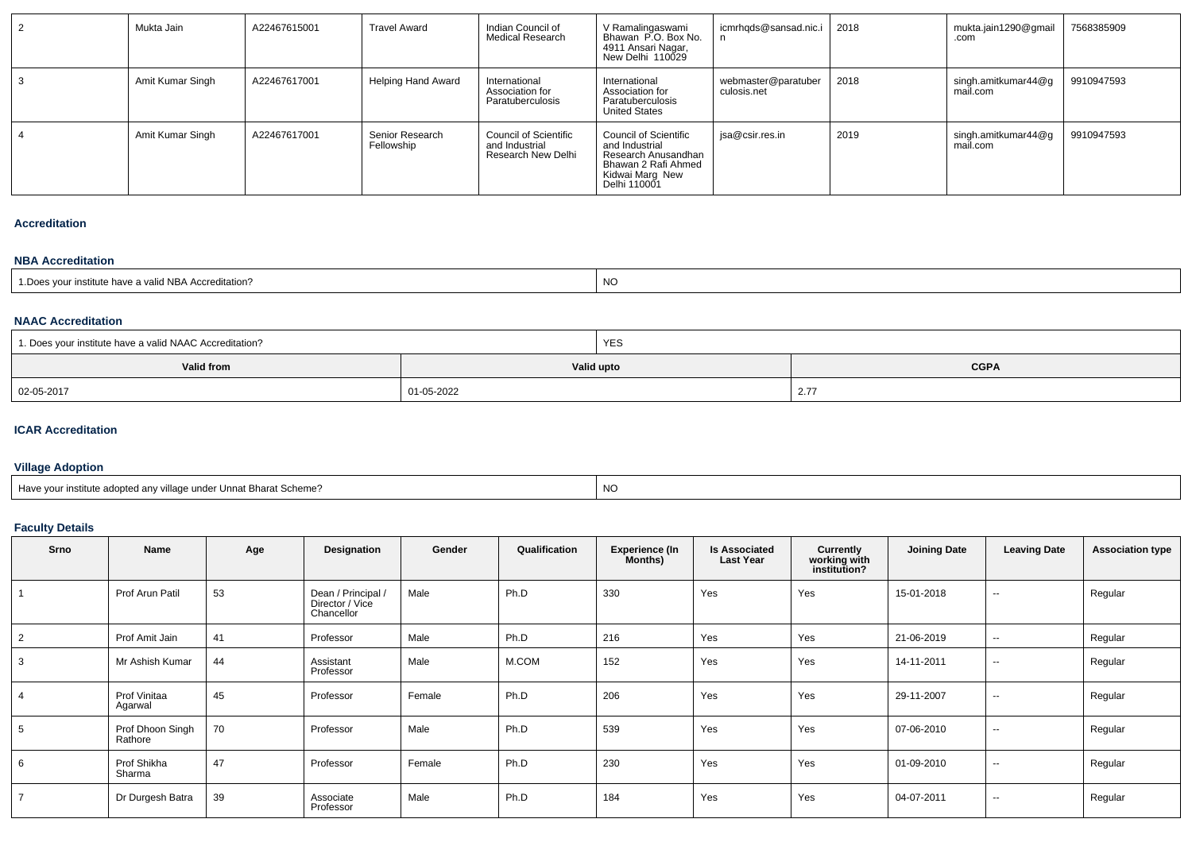| Mukta Jain       | A22467615001 | <b>Travel Award</b>           | Indian Council of<br><b>Medical Research</b>                         | V Ramalingaswami<br>Bhawan P.O. Box No.<br>4911 Ansari Nagar,<br>New Delhi 110029                                               | icmrhqds@sansad.nic.i              | 2018 | mukta.jain1290@gmail<br>.com    | 7568385909 |
|------------------|--------------|-------------------------------|----------------------------------------------------------------------|---------------------------------------------------------------------------------------------------------------------------------|------------------------------------|------|---------------------------------|------------|
| Amit Kumar Singh | A22467617001 | <b>Helping Hand Award</b>     | International<br>Association for<br>Paratuberculosis                 | International<br>Association for<br>Paratuberculosis<br><b>United States</b>                                                    | webmaster@paratuber<br>culosis.net | 2018 | singh.amitkumar44@g<br>mail.com | 9910947593 |
| Amit Kumar Singh | A22467617001 | Senior Research<br>Fellowship | <b>Council of Scientific</b><br>and Industrial<br>Research New Delhi | <b>Council of Scientific</b><br>and Industrial<br>Research Anusandhan<br>Bhawan 2 Rafi Ahmed<br>Kidwai Marg New<br>Delhi 110001 | isa@csir.res.in                    | 2019 | singh.amitkumar44@g<br>mail.com | 9910947593 |

#### **Accreditation**

#### **NBA Accreditation**

| 1. Does vour institute have a valid NBA Accreditation? | <b>NO</b> |
|--------------------------------------------------------|-----------|
|                                                        |           |

### **NAAC Accreditation**

| 1. Does your institute have a valid NAAC Accreditation? |            | <b>YES</b> |              |
|---------------------------------------------------------|------------|------------|--------------|
| <b>Valid from</b>                                       | Valid upto |            | <b>CGPA</b>  |
| 02-05-2017                                              | 01-05-2022 |            | 27<br>$\sim$ |

#### **ICAR Accreditation**

## **Village Adoption**

| . Have vour institute adopted anv village under Unnat Bharat Scheme? | <b>NC</b> |
|----------------------------------------------------------------------|-----------|
|                                                                      |           |

#### **Faculty Details**

| Srno           | Name                        | Age | Designation                                         | Gender | Qualification | <b>Experience (In</b><br>Months) | <b>Is Associated</b><br><b>Last Year</b> | Currently<br>working with<br>institution? | <b>Joining Date</b> | <b>Leaving Date</b> | <b>Association type</b> |
|----------------|-----------------------------|-----|-----------------------------------------------------|--------|---------------|----------------------------------|------------------------------------------|-------------------------------------------|---------------------|---------------------|-------------------------|
|                | Prof Arun Patil             | 53  | Dean / Principal /<br>Director / Vice<br>Chancellor | Male   | Ph.D          | 330                              | Yes                                      | Yes                                       | 15-01-2018          | $\sim$              | Regular                 |
| $\overline{2}$ | Prof Amit Jain              | 41  | Professor                                           | Male   | Ph.D          | 216                              | Yes                                      | Yes                                       | 21-06-2019          | $\sim$              | Regular                 |
| $\mathbf{3}$   | Mr Ashish Kumar             | 44  | Assistant<br>Professor                              | Male   | M.COM         | 152                              | Yes                                      | Yes                                       | 14-11-2011          | $\sim$              | Regular                 |
| $\overline{4}$ | Prof Vinitaa<br>Agarwal     | 45  | Professor                                           | Female | Ph.D          | 206                              | Yes                                      | Yes                                       | 29-11-2007          | $\sim$              | Regular                 |
| 5              | Prof Dhoon Singh<br>Rathore | 70  | Professor                                           | Male   | Ph.D          | 539                              | Yes                                      | Yes                                       | 07-06-2010          | $\sim$              | Regular                 |
| 6              | Prof Shikha<br>Sharma       | 47  | Professor                                           | Female | Ph.D          | 230                              | Yes                                      | Yes                                       | 01-09-2010          | $\sim$              | Regular                 |
| $\overline{7}$ | Dr Durgesh Batra            | 39  | Associate<br>Professor                              | Male   | Ph.D          | 184                              | Yes                                      | Yes                                       | 04-07-2011          | $\sim$              | Regular                 |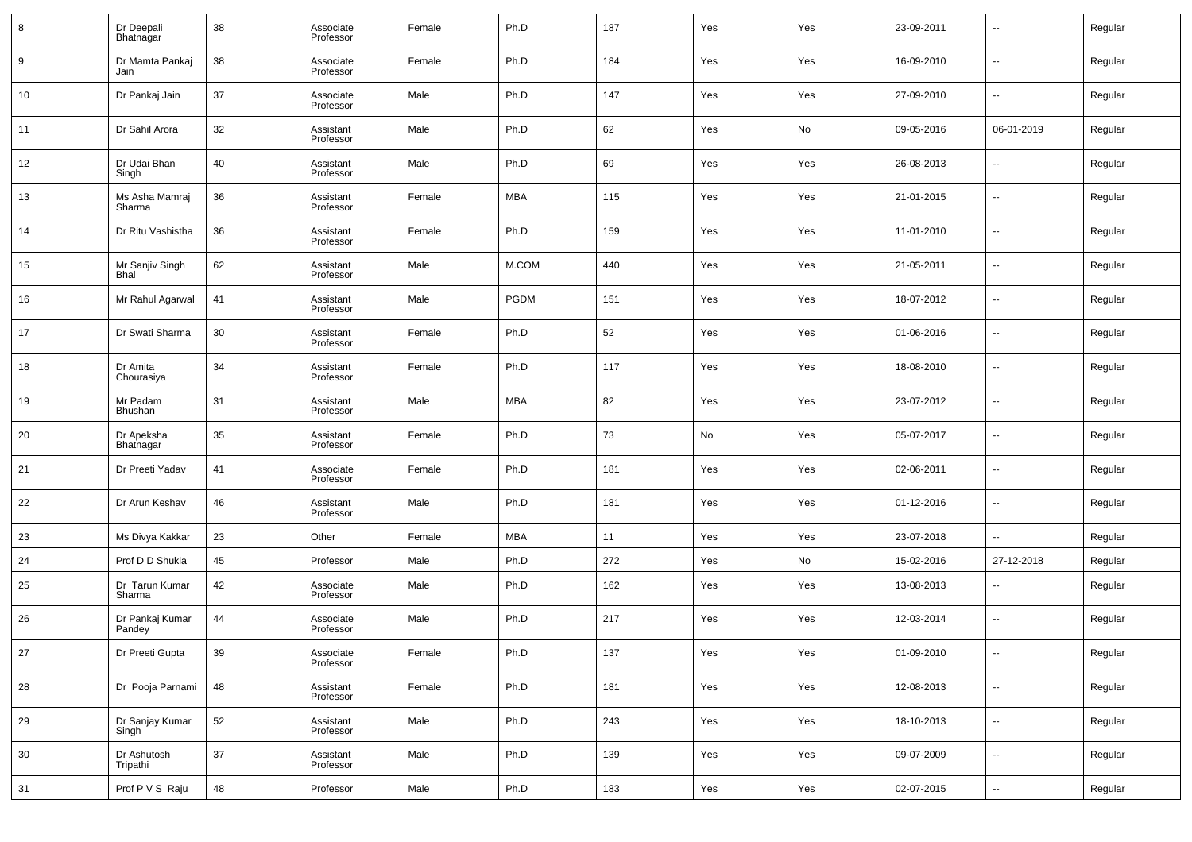| 8  | Dr Deepali<br>Bhatnagar   | 38 | Associate<br>Professor | Female | Ph.D        | 187 | Yes | Yes | 23-09-2011 | $\overline{\phantom{a}}$ | Regular |
|----|---------------------------|----|------------------------|--------|-------------|-----|-----|-----|------------|--------------------------|---------|
| 9  | Dr Mamta Pankaj<br>Jain   | 38 | Associate<br>Professor | Female | Ph.D        | 184 | Yes | Yes | 16-09-2010 | $\overline{\phantom{a}}$ | Regular |
| 10 | Dr Pankaj Jain            | 37 | Associate<br>Professor | Male   | Ph.D        | 147 | Yes | Yes | 27-09-2010 | $\overline{\phantom{a}}$ | Regular |
| 11 | Dr Sahil Arora            | 32 | Assistant<br>Professor | Male   | Ph.D        | 62  | Yes | No  | 09-05-2016 | 06-01-2019               | Regular |
| 12 | Dr Udai Bhan<br>Singh     | 40 | Assistant<br>Professor | Male   | Ph.D        | 69  | Yes | Yes | 26-08-2013 | $\overline{\phantom{a}}$ | Regular |
| 13 | Ms Asha Mamraj<br>Sharma  | 36 | Assistant<br>Professor | Female | MBA         | 115 | Yes | Yes | 21-01-2015 | $\overline{\phantom{a}}$ | Regular |
| 14 | Dr Ritu Vashistha         | 36 | Assistant<br>Professor | Female | Ph.D        | 159 | Yes | Yes | 11-01-2010 | $\overline{\phantom{a}}$ | Regular |
| 15 | Mr Sanjiv Singh<br>Bhal   | 62 | Assistant<br>Professor | Male   | M.COM       | 440 | Yes | Yes | 21-05-2011 | $\overline{\phantom{a}}$ | Regular |
| 16 | Mr Rahul Agarwal          | 41 | Assistant<br>Professor | Male   | <b>PGDM</b> | 151 | Yes | Yes | 18-07-2012 | $\overline{\phantom{a}}$ | Regular |
| 17 | Dr Swati Sharma           | 30 | Assistant<br>Professor | Female | Ph.D        | 52  | Yes | Yes | 01-06-2016 | $\overline{\phantom{a}}$ | Regular |
| 18 | Dr Amita<br>Chourasiya    | 34 | Assistant<br>Professor | Female | Ph.D        | 117 | Yes | Yes | 18-08-2010 | $\overline{\phantom{a}}$ | Regular |
| 19 | Mr Padam<br>Bhushan       | 31 | Assistant<br>Professor | Male   | MBA         | 82  | Yes | Yes | 23-07-2012 | $\overline{\phantom{a}}$ | Regular |
| 20 | Dr Apeksha<br>Bhatnagar   | 35 | Assistant<br>Professor | Female | Ph.D        | 73  | No  | Yes | 05-07-2017 | $\overline{\phantom{a}}$ | Regular |
| 21 | Dr Preeti Yadav           | 41 | Associate<br>Professor | Female | Ph.D        | 181 | Yes | Yes | 02-06-2011 | $\overline{\phantom{a}}$ | Regular |
| 22 | Dr Arun Keshav            | 46 | Assistant<br>Professor | Male   | Ph.D        | 181 | Yes | Yes | 01-12-2016 | $\overline{\phantom{a}}$ | Regular |
| 23 | Ms Divya Kakkar           | 23 | Other                  | Female | MBA         | 11  | Yes | Yes | 23-07-2018 | --                       | Regular |
| 24 | Prof D D Shukla           | 45 | Professor              | Male   | Ph.D        | 272 | Yes | No  | 15-02-2016 | 27-12-2018               | Regular |
| 25 | Dr Tarun Kumar<br>Sharma  | 42 | Associate<br>Professor | Male   | Ph.D        | 162 | Yes | Yes | 13-08-2013 | $\overline{\phantom{a}}$ | Regular |
| 26 | Dr Pankaj Kumar<br>Pandey | 44 | Associate<br>Professor | Male   | Ph.D        | 217 | Yes | Yes | 12-03-2014 | $\overline{\phantom{a}}$ | Regular |
| 27 | Dr Preeti Gupta           | 39 | Associate<br>Professor | Female | Ph.D        | 137 | Yes | Yes | 01-09-2010 | ۰.                       | Regular |
| 28 | Dr Pooja Parnami          | 48 | Assistant<br>Professor | Female | Ph.D        | 181 | Yes | Yes | 12-08-2013 | $\overline{\phantom{a}}$ | Regular |
| 29 | Dr Sanjay Kumar<br>Singh  | 52 | Assistant<br>Professor | Male   | Ph.D        | 243 | Yes | Yes | 18-10-2013 | $\overline{\phantom{a}}$ | Regular |
| 30 | Dr Ashutosh<br>Tripathi   | 37 | Assistant<br>Professor | Male   | Ph.D        | 139 | Yes | Yes | 09-07-2009 | $\overline{\phantom{a}}$ | Regular |
| 31 | Prof P V S Raju           | 48 | Professor              | Male   | Ph.D        | 183 | Yes | Yes | 02-07-2015 | $\overline{\phantom{a}}$ | Regular |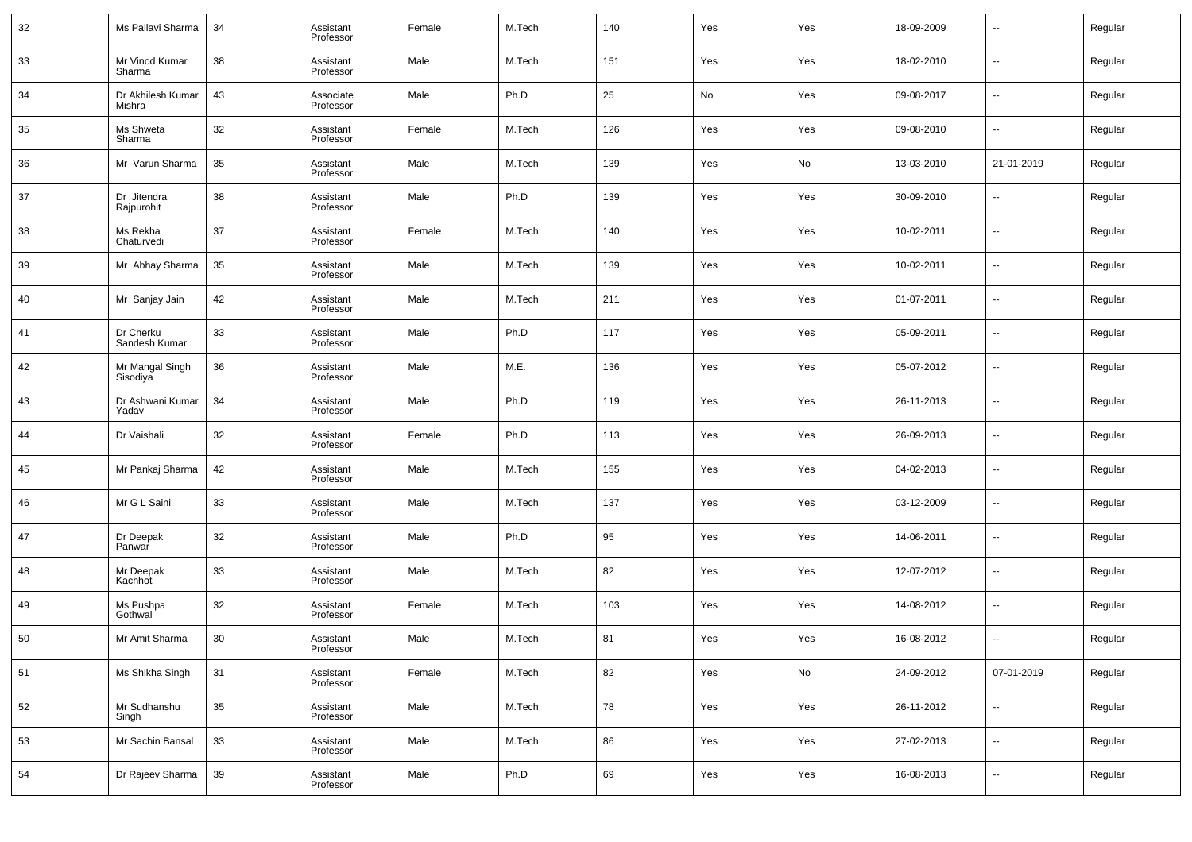| 32 | Ms Pallavi Sharma           | 34 | Assistant<br>Professor | Female | M.Tech | 140 | Yes | Yes | 18-09-2009 | $\overline{\phantom{a}}$ | Regular |
|----|-----------------------------|----|------------------------|--------|--------|-----|-----|-----|------------|--------------------------|---------|
| 33 | Mr Vinod Kumar<br>Sharma    | 38 | Assistant<br>Professor | Male   | M.Tech | 151 | Yes | Yes | 18-02-2010 | $\overline{\phantom{a}}$ | Regular |
| 34 | Dr Akhilesh Kumar<br>Mishra | 43 | Associate<br>Professor | Male   | Ph.D   | 25  | No  | Yes | 09-08-2017 | $\overline{\phantom{a}}$ | Regular |
| 35 | Ms Shweta<br>Sharma         | 32 | Assistant<br>Professor | Female | M.Tech | 126 | Yes | Yes | 09-08-2010 | $\overline{\phantom{a}}$ | Regular |
| 36 | Mr Varun Sharma             | 35 | Assistant<br>Professor | Male   | M.Tech | 139 | Yes | No  | 13-03-2010 | 21-01-2019               | Regular |
| 37 | Dr Jitendra<br>Rajpurohit   | 38 | Assistant<br>Professor | Male   | Ph.D   | 139 | Yes | Yes | 30-09-2010 | $\overline{\phantom{a}}$ | Regular |
| 38 | Ms Rekha<br>Chaturvedi      | 37 | Assistant<br>Professor | Female | M.Tech | 140 | Yes | Yes | 10-02-2011 | $\overline{\phantom{a}}$ | Regular |
| 39 | Mr Abhay Sharma             | 35 | Assistant<br>Professor | Male   | M.Tech | 139 | Yes | Yes | 10-02-2011 | $\overline{\phantom{a}}$ | Regular |
| 40 | Mr Sanjay Jain              | 42 | Assistant<br>Professor | Male   | M.Tech | 211 | Yes | Yes | 01-07-2011 | $\overline{\phantom{a}}$ | Regular |
| 41 | Dr Cherku<br>Sandesh Kumar  | 33 | Assistant<br>Professor | Male   | Ph.D   | 117 | Yes | Yes | 05-09-2011 | $\overline{\phantom{a}}$ | Regular |
| 42 | Mr Mangal Singh<br>Sisodiya | 36 | Assistant<br>Professor | Male   | M.E.   | 136 | Yes | Yes | 05-07-2012 | --                       | Regular |
| 43 | Dr Ashwani Kumar<br>Yadav   | 34 | Assistant<br>Professor | Male   | Ph.D   | 119 | Yes | Yes | 26-11-2013 | $\overline{\phantom{a}}$ | Regular |
| 44 | Dr Vaishali                 | 32 | Assistant<br>Professor | Female | Ph.D   | 113 | Yes | Yes | 26-09-2013 | --                       | Regular |
| 45 | Mr Pankaj Sharma            | 42 | Assistant<br>Professor | Male   | M.Tech | 155 | Yes | Yes | 04-02-2013 | --                       | Regular |
| 46 | Mr G L Saini                | 33 | Assistant<br>Professor | Male   | M.Tech | 137 | Yes | Yes | 03-12-2009 | --                       | Regular |
| 47 | Dr Deepak<br>Panwar         | 32 | Assistant<br>Professor | Male   | Ph.D   | 95  | Yes | Yes | 14-06-2011 | --                       | Regular |
| 48 | Mr Deepak<br>Kachhot        | 33 | Assistant<br>Professor | Male   | M.Tech | 82  | Yes | Yes | 12-07-2012 | --                       | Regular |
| 49 | Ms Pushpa<br>Gothwal        | 32 | Assistant<br>Professor | Female | M.Tech | 103 | Yes | Yes | 14-08-2012 | --                       | Regular |
| 50 | Mr Amit Sharma              | 30 | Assistant<br>Professor | Male   | M.Tech | 81  | Yes | Yes | 16-08-2012 | $\overline{\phantom{a}}$ | Regular |
| 51 | Ms Shikha Singh             | 31 | Assistant<br>Professor | Female | M.Tech | 82  | Yes | No  | 24-09-2012 | 07-01-2019               | Regular |
| 52 | Mr Sudhanshu<br>Singh       | 35 | Assistant<br>Professor | Male   | M.Tech | 78  | Yes | Yes | 26-11-2012 | $\sim$                   | Regular |
| 53 | Mr Sachin Bansal            | 33 | Assistant<br>Professor | Male   | M.Tech | 86  | Yes | Yes | 27-02-2013 | $\overline{\phantom{a}}$ | Regular |
| 54 | Dr Rajeev Sharma            | 39 | Assistant<br>Professor | Male   | Ph.D   | 69  | Yes | Yes | 16-08-2013 | $\overline{\phantom{a}}$ | Regular |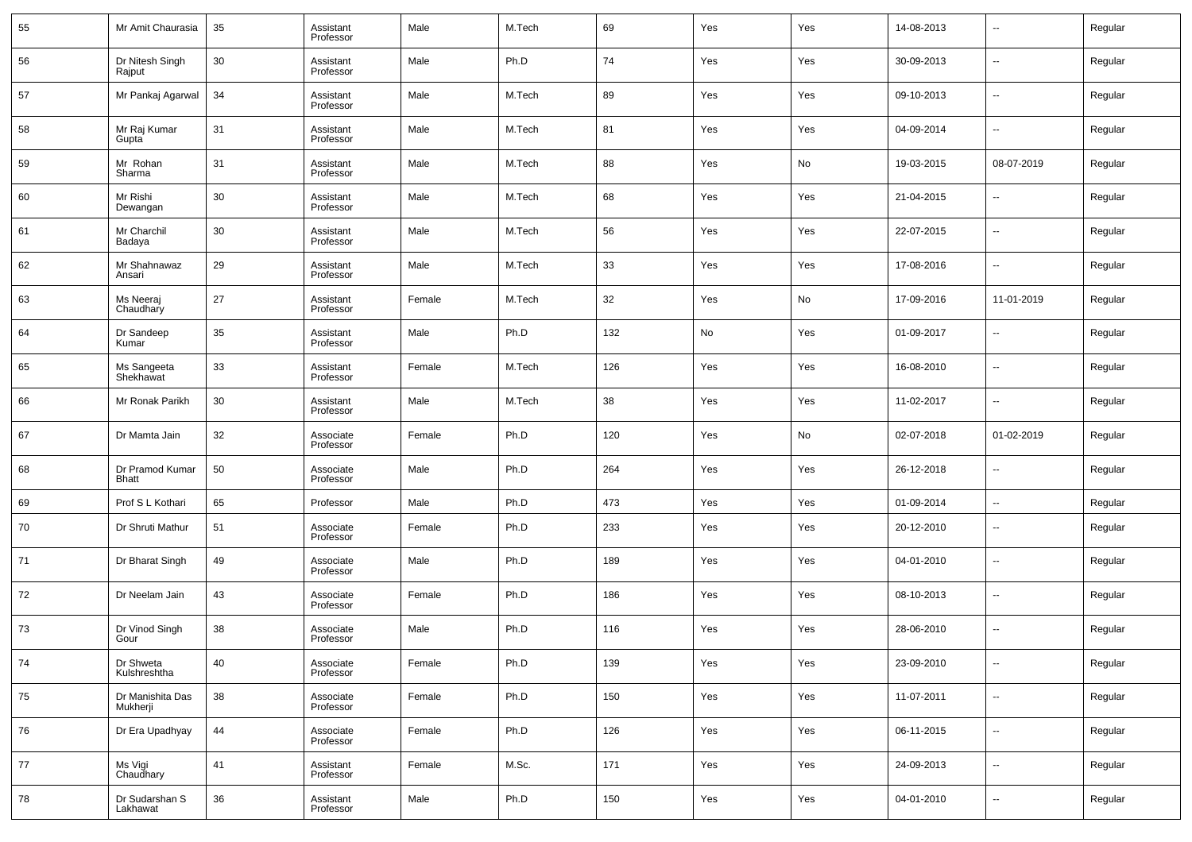| 55 | Mr Amit Chaurasia            | 35 | Assistant<br>Professor | Male   | M.Tech | 69  | Yes | Yes | 14-08-2013 | $\overline{\phantom{a}}$ | Regular |
|----|------------------------------|----|------------------------|--------|--------|-----|-----|-----|------------|--------------------------|---------|
| 56 | Dr Nitesh Singh<br>Rajput    | 30 | Assistant<br>Professor | Male   | Ph.D   | 74  | Yes | Yes | 30-09-2013 | --                       | Regular |
| 57 | Mr Pankaj Agarwal            | 34 | Assistant<br>Professor | Male   | M.Tech | 89  | Yes | Yes | 09-10-2013 | ш.                       | Regular |
| 58 | Mr Raj Kumar<br>Gupta        | 31 | Assistant<br>Professor | Male   | M.Tech | 81  | Yes | Yes | 04-09-2014 | --                       | Regular |
| 59 | Mr Rohan<br>Sharma           | 31 | Assistant<br>Professor | Male   | M.Tech | 88  | Yes | No  | 19-03-2015 | 08-07-2019               | Regular |
| 60 | Mr Rishi<br>Dewangan         | 30 | Assistant<br>Professor | Male   | M.Tech | 68  | Yes | Yes | 21-04-2015 | --                       | Regular |
| 61 | Mr Charchil<br>Badaya        | 30 | Assistant<br>Professor | Male   | M.Tech | 56  | Yes | Yes | 22-07-2015 | ш.                       | Regular |
| 62 | Mr Shahnawaz<br>Ansari       | 29 | Assistant<br>Professor | Male   | M.Tech | 33  | Yes | Yes | 17-08-2016 | ш.                       | Regular |
| 63 | Ms Neeraj<br>Chaudhary       | 27 | Assistant<br>Professor | Female | M.Tech | 32  | Yes | No  | 17-09-2016 | 11-01-2019               | Regular |
| 64 | Dr Sandeep<br>Kumar          | 35 | Assistant<br>Professor | Male   | Ph.D   | 132 | No  | Yes | 01-09-2017 | ш.                       | Regular |
| 65 | Ms Sangeeta<br>Shekhawat     | 33 | Assistant<br>Professor | Female | M.Tech | 126 | Yes | Yes | 16-08-2010 | --                       | Regular |
| 66 | Mr Ronak Parikh              | 30 | Assistant<br>Professor | Male   | M.Tech | 38  | Yes | Yes | 11-02-2017 | ш,                       | Regular |
| 67 | Dr Mamta Jain                | 32 | Associate<br>Professor | Female | Ph.D   | 120 | Yes | No  | 02-07-2018 | 01-02-2019               | Regular |
| 68 | Dr Pramod Kumar<br>Bhatt     | 50 | Associate<br>Professor | Male   | Ph.D   | 264 | Yes | Yes | 26-12-2018 | ш,                       | Regular |
| 69 | Prof S L Kothari             | 65 | Professor              | Male   | Ph.D   | 473 | Yes | Yes | 01-09-2014 | $\overline{\phantom{a}}$ | Regular |
| 70 | Dr Shruti Mathur             | 51 | Associate<br>Professor | Female | Ph.D   | 233 | Yes | Yes | 20-12-2010 | $\sim$                   | Regular |
| 71 | Dr Bharat Singh              | 49 | Associate<br>Professor | Male   | Ph.D   | 189 | Yes | Yes | 04-01-2010 | --                       | Regular |
| 72 | Dr Neelam Jain               | 43 | Associate<br>Professor | Female | Ph.D   | 186 | Yes | Yes | 08-10-2013 | ш,                       | Regular |
| 73 | Dr Vinod Singh<br>Gour       | 38 | Associate<br>Professor | Male   | Ph.D   | 116 | Yes | Yes | 28-06-2010 | --                       | Regular |
| 74 | Dr Shweta<br>Kulshreshtha    | 40 | Associate<br>Professor | Female | Ph.D   | 139 | Yes | Yes | 23-09-2010 | $\sim$                   | Regular |
| 75 | Dr Manishita Das<br>Mukherji | 38 | Associate<br>Professor | Female | Ph.D   | 150 | Yes | Yes | 11-07-2011 | $\sim$                   | Regular |
| 76 | Dr Era Upadhyay              | 44 | Associate<br>Professor | Female | Ph.D   | 126 | Yes | Yes | 06-11-2015 | $\sim$                   | Regular |
| 77 | Ms Vigi<br>Chaudhary         | 41 | Assistant<br>Professor | Female | M.Sc.  | 171 | Yes | Yes | 24-09-2013 | $\sim$                   | Regular |
| 78 | Dr Sudarshan S<br>Lakhawat   | 36 | Assistant<br>Professor | Male   | Ph.D   | 150 | Yes | Yes | 04-01-2010 | $\sim$                   | Regular |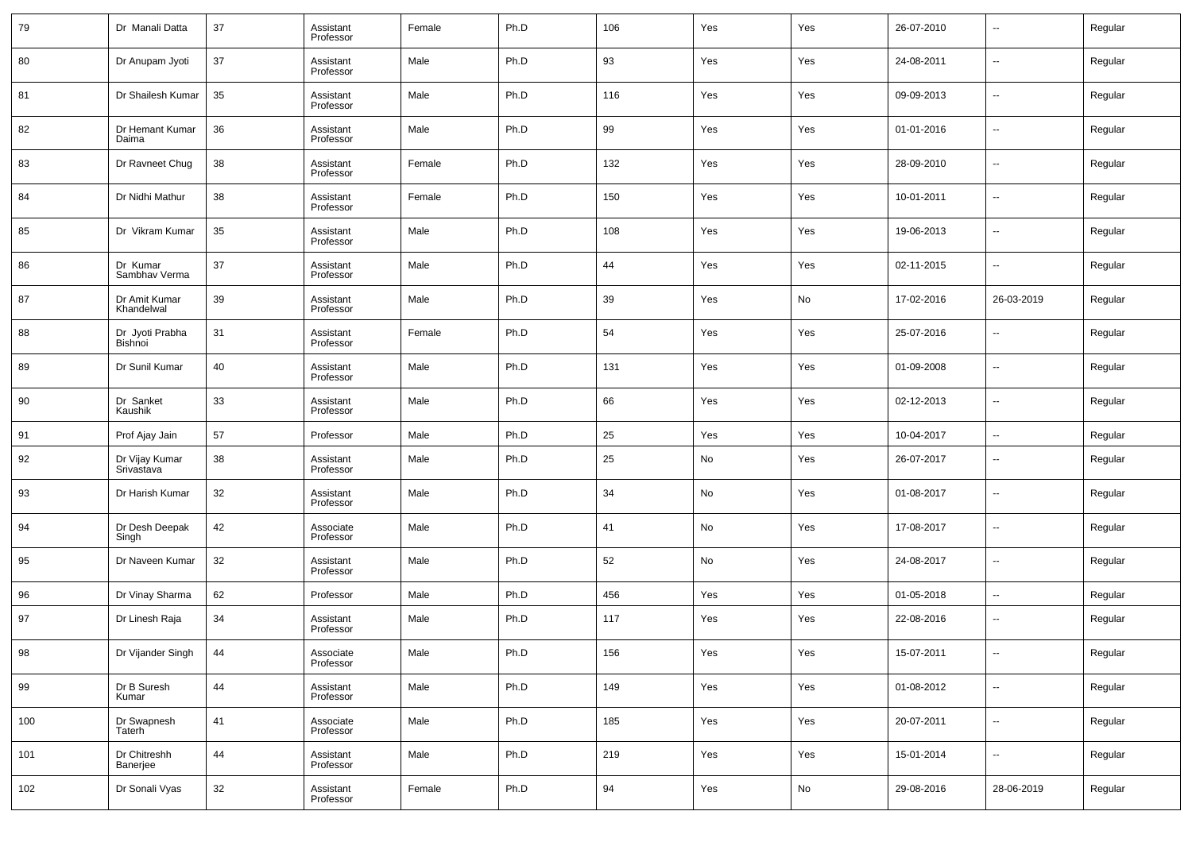| 79  | Dr Manali Datta                   | 37 | Assistant<br>Professor | Female | Ph.D | 106 | Yes | Yes | 26-07-2010 | $\overline{\phantom{a}}$ | Regular |
|-----|-----------------------------------|----|------------------------|--------|------|-----|-----|-----|------------|--------------------------|---------|
| 80  | Dr Anupam Jyoti                   | 37 | Assistant<br>Professor | Male   | Ph.D | 93  | Yes | Yes | 24-08-2011 | $\overline{\phantom{a}}$ | Regular |
| 81  | Dr Shailesh Kumar                 | 35 | Assistant<br>Professor | Male   | Ph.D | 116 | Yes | Yes | 09-09-2013 | $\overline{\phantom{a}}$ | Regular |
| 82  | Dr Hemant Kumar<br>Daima          | 36 | Assistant<br>Professor | Male   | Ph.D | 99  | Yes | Yes | 01-01-2016 | $\overline{\phantom{a}}$ | Regular |
| 83  | Dr Ravneet Chug                   | 38 | Assistant<br>Professor | Female | Ph.D | 132 | Yes | Yes | 28-09-2010 | $\overline{\phantom{a}}$ | Regular |
| 84  | Dr Nidhi Mathur                   | 38 | Assistant<br>Professor | Female | Ph.D | 150 | Yes | Yes | 10-01-2011 | $\overline{\phantom{a}}$ | Regular |
| 85  | Dr Vikram Kumar                   | 35 | Assistant<br>Professor | Male   | Ph.D | 108 | Yes | Yes | 19-06-2013 | $\overline{\phantom{a}}$ | Regular |
| 86  | Dr Kumar<br>Sambhav Verma         | 37 | Assistant<br>Professor | Male   | Ph.D | 44  | Yes | Yes | 02-11-2015 | $\overline{\phantom{a}}$ | Regular |
| 87  | Dr Amit Kumar<br>Khandelwal       | 39 | Assistant<br>Professor | Male   | Ph.D | 39  | Yes | No  | 17-02-2016 | 26-03-2019               | Regular |
| 88  | Dr Jyoti Prabha<br><b>Bishnoi</b> | 31 | Assistant<br>Professor | Female | Ph.D | 54  | Yes | Yes | 25-07-2016 | $\overline{\phantom{a}}$ | Regular |
| 89  | Dr Sunil Kumar                    | 40 | Assistant<br>Professor | Male   | Ph.D | 131 | Yes | Yes | 01-09-2008 | $\overline{\phantom{a}}$ | Regular |
| 90  | Dr Sanket<br>Kaushik              | 33 | Assistant<br>Professor | Male   | Ph.D | 66  | Yes | Yes | 02-12-2013 | $\overline{\phantom{a}}$ | Regular |
| 91  | Prof Ajay Jain                    | 57 | Professor              | Male   | Ph.D | 25  | Yes | Yes | 10-04-2017 | $\sim$                   | Regular |
| 92  | Dr Vijay Kumar<br>Srivastava      | 38 | Assistant<br>Professor | Male   | Ph.D | 25  | No  | Yes | 26-07-2017 | $\overline{\phantom{a}}$ | Regular |
| 93  | Dr Harish Kumar                   | 32 | Assistant<br>Professor | Male   | Ph.D | 34  | No  | Yes | 01-08-2017 | $\overline{\phantom{a}}$ | Regular |
| 94  | Dr Desh Deepak<br>Singh           | 42 | Associate<br>Professor | Male   | Ph.D | 41  | No  | Yes | 17-08-2017 | $\overline{\phantom{a}}$ | Regular |
| 95  | Dr Naveen Kumar                   | 32 | Assistant<br>Professor | Male   | Ph.D | 52  | No  | Yes | 24-08-2017 | $\overline{\phantom{a}}$ | Regular |
| 96  | Dr Vinay Sharma                   | 62 | Professor              | Male   | Ph.D | 456 | Yes | Yes | 01-05-2018 | $\sim$                   | Regular |
| 97  | Dr Linesh Raja                    | 34 | Assistant<br>Professor | Male   | Ph.D | 117 | Yes | Yes | 22-08-2016 | --                       | Regular |
| 98  | Dr Vijander Singh                 | 44 | Associate<br>Professor | Male   | Ph.D | 156 | Yes | Yes | 15-07-2011 | $\overline{\phantom{a}}$ | Regular |
| 99  | Dr B Suresh<br>Kumar              | 44 | Assistant<br>Professor | Male   | Ph.D | 149 | Yes | Yes | 01-08-2012 | н.                       | Regular |
| 100 | Dr Swapnesh<br>Taterh             | 41 | Associate<br>Professor | Male   | Ph.D | 185 | Yes | Yes | 20-07-2011 | $\sim$                   | Regular |
| 101 | Dr Chitreshh<br>Banerjee          | 44 | Assistant<br>Professor | Male   | Ph.D | 219 | Yes | Yes | 15-01-2014 | н.                       | Regular |
| 102 | Dr Sonali Vyas                    | 32 | Assistant<br>Professor | Female | Ph.D | 94  | Yes | No  | 29-08-2016 | 28-06-2019               | Regular |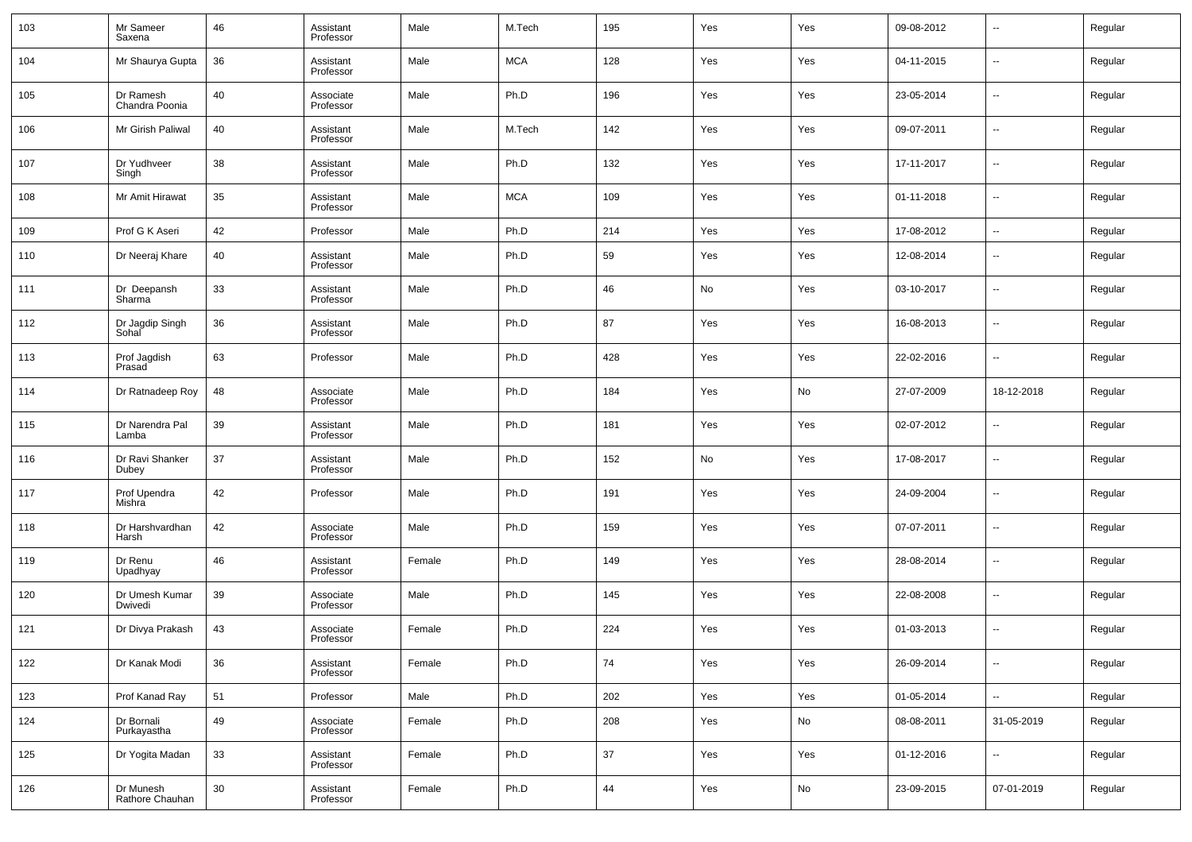| 103 | Mr Sameer<br>Saxena          | 46 | Assistant<br>Professor | Male   | M.Tech     | 195 | Yes | Yes           | 09-08-2012 | $\sim$                   | Regular |
|-----|------------------------------|----|------------------------|--------|------------|-----|-----|---------------|------------|--------------------------|---------|
| 104 | Mr Shaurya Gupta             | 36 | Assistant<br>Professor | Male   | <b>MCA</b> | 128 | Yes | Yes           | 04-11-2015 | $\sim$                   | Regular |
| 105 | Dr Ramesh<br>Chandra Poonia  | 40 | Associate<br>Professor | Male   | Ph.D       | 196 | Yes | Yes           | 23-05-2014 | $\sim$                   | Regular |
| 106 | Mr Girish Paliwal            | 40 | Assistant<br>Professor | Male   | M.Tech     | 142 | Yes | Yes           | 09-07-2011 | $\sim$                   | Regular |
| 107 | Dr Yudhveer<br>Singh         | 38 | Assistant<br>Professor | Male   | Ph.D       | 132 | Yes | Yes           | 17-11-2017 | $\sim$                   | Regular |
| 108 | Mr Amit Hirawat              | 35 | Assistant<br>Professor | Male   | <b>MCA</b> | 109 | Yes | Yes           | 01-11-2018 | $\sim$                   | Regular |
| 109 | Prof G K Aseri               | 42 | Professor              | Male   | Ph.D       | 214 | Yes | Yes           | 17-08-2012 | $\overline{\phantom{a}}$ | Regular |
| 110 | Dr Neeraj Khare              | 40 | Assistant<br>Professor | Male   | Ph.D       | 59  | Yes | Yes           | 12-08-2014 | --                       | Regular |
| 111 | Dr Deepansh<br>Sharma        | 33 | Assistant<br>Professor | Male   | Ph.D       | 46  | No  | Yes           | 03-10-2017 | н.                       | Regular |
| 112 | Dr Jagdip Singh<br>Sohal     | 36 | Assistant<br>Professor | Male   | Ph.D       | 87  | Yes | Yes           | 16-08-2013 | н.                       | Regular |
| 113 | Prof Jagdish<br>Prasad       | 63 | Professor              | Male   | Ph.D       | 428 | Yes | Yes           | 22-02-2016 | н.                       | Regular |
| 114 | Dr Ratnadeep Roy             | 48 | Associate<br>Professor | Male   | Ph.D       | 184 | Yes | No            | 27-07-2009 | 18-12-2018               | Regular |
| 115 | Dr Narendra Pal<br>Lamba     | 39 | Assistant<br>Professor | Male   | Ph.D       | 181 | Yes | Yes           | 02-07-2012 | --                       | Regular |
| 116 | Dr Ravi Shanker<br>Dubey     | 37 | Assistant<br>Professor | Male   | Ph.D       | 152 | No  | Yes           | 17-08-2017 | н.                       | Regular |
| 117 | Prof Upendra<br>Mishra       | 42 | Professor              | Male   | Ph.D       | 191 | Yes | Yes           | 24-09-2004 | --                       | Regular |
| 118 | Dr Harshvardhan<br>Harsh     | 42 | Associate<br>Professor | Male   | Ph.D       | 159 | Yes | Yes           | 07-07-2011 | н.                       | Regular |
| 119 | Dr Renu<br>Upadhyay          | 46 | Assistant<br>Professor | Female | Ph.D       | 149 | Yes | Yes           | 28-08-2014 | --                       | Regular |
| 120 | Dr Umesh Kumar<br>Dwivedi    | 39 | Associate<br>Professor | Male   | Ph.D       | 145 | Yes | Yes           | 22-08-2008 | --                       | Regular |
| 121 | Dr Divya Prakash             | 43 | Associate<br>Professor | Female | Ph.D       | 224 | Yes | Yes           | 01-03-2013 | --                       | Regular |
| 122 | Dr Kanak Modi                | 36 | Assistant<br>Professor | Female | Ph.D       | 74  | Yes | Yes           | 26-09-2014 | $\sim$                   | Regular |
| 123 | Prof Kanad Ray               | 51 | Professor              | Male   | Ph.D       | 202 | Yes | Yes           | 01-05-2014 | $\overline{\phantom{a}}$ | Regular |
| 124 | Dr Bornali<br>Purkayastha    | 49 | Associate<br>Professor | Female | Ph.D       | 208 | Yes | No            | 08-08-2011 | 31-05-2019               | Regular |
| 125 | Dr Yogita Madan              | 33 | Assistant<br>Professor | Female | Ph.D       | 37  | Yes | Yes           | 01-12-2016 | $\overline{\phantom{a}}$ | Regular |
| 126 | Dr Munesh<br>Rathore Chauhan | 30 | Assistant<br>Professor | Female | Ph.D       | 44  | Yes | $\mathsf{No}$ | 23-09-2015 | 07-01-2019               | Regular |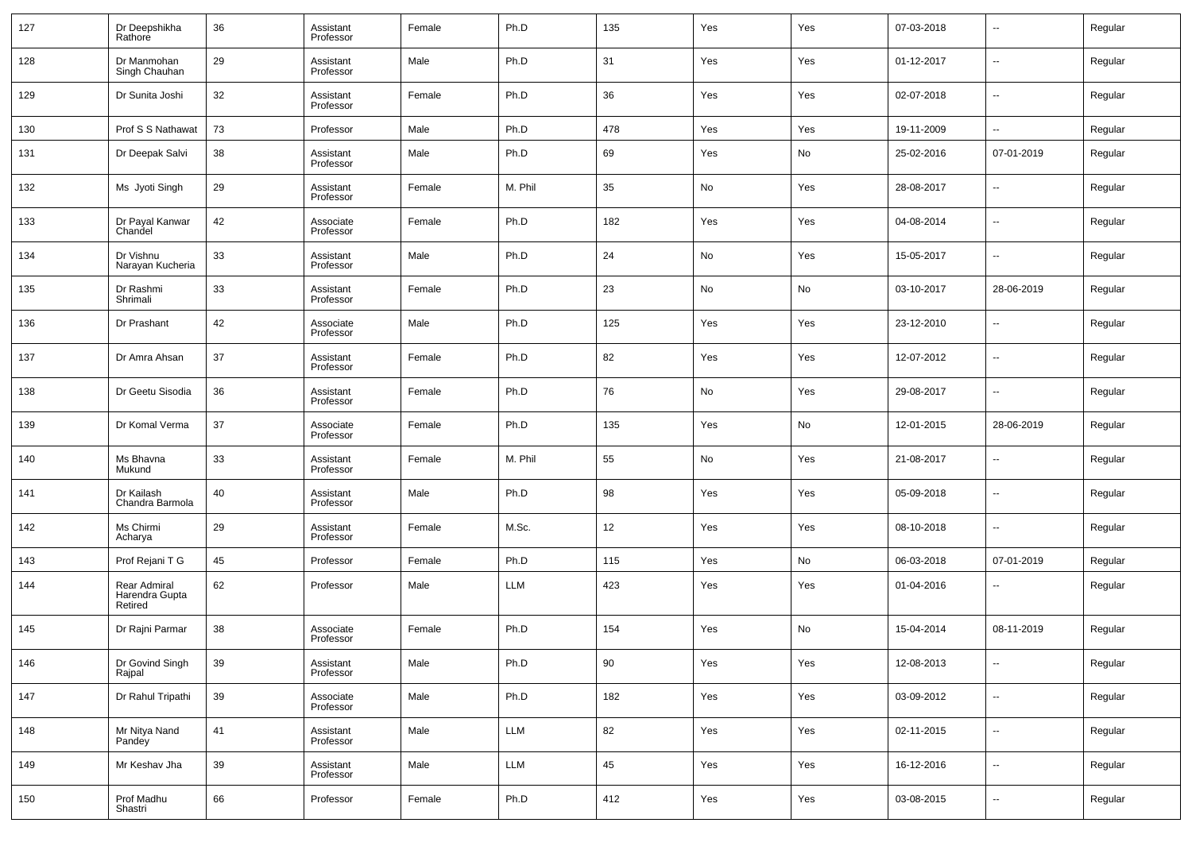| 127 | Dr Deepshikha<br>Rathore                  | 36 | Assistant<br>Professor | Female | Ph.D       | 135 | Yes | Yes | 07-03-2018 | $\overline{\phantom{a}}$ | Regular |
|-----|-------------------------------------------|----|------------------------|--------|------------|-----|-----|-----|------------|--------------------------|---------|
| 128 | Dr Manmohan<br>Singh Chauhan              | 29 | Assistant<br>Professor | Male   | Ph.D       | 31  | Yes | Yes | 01-12-2017 | --                       | Regular |
| 129 | Dr Sunita Joshi                           | 32 | Assistant<br>Professor | Female | Ph.D       | 36  | Yes | Yes | 02-07-2018 | --                       | Regular |
| 130 | Prof S S Nathawat                         | 73 | Professor              | Male   | Ph.D       | 478 | Yes | Yes | 19-11-2009 | Ξ.                       | Regular |
| 131 | Dr Deepak Salvi                           | 38 | Assistant<br>Professor | Male   | Ph.D       | 69  | Yes | No  | 25-02-2016 | 07-01-2019               | Regular |
| 132 | Ms Jyoti Singh                            | 29 | Assistant<br>Professor | Female | M. Phil    | 35  | No  | Yes | 28-08-2017 | --                       | Regular |
| 133 | Dr Payal Kanwar<br>Chandel                | 42 | Associate<br>Professor | Female | Ph.D       | 182 | Yes | Yes | 04-08-2014 | --                       | Regular |
| 134 | Dr Vishnu<br>Narayan Kucheria             | 33 | Assistant<br>Professor | Male   | Ph.D       | 24  | No  | Yes | 15-05-2017 | --                       | Regular |
| 135 | Dr Rashmi<br>Shrimali                     | 33 | Assistant<br>Professor | Female | Ph.D       | 23  | No  | No  | 03-10-2017 | 28-06-2019               | Regular |
| 136 | Dr Prashant                               | 42 | Associate<br>Professor | Male   | Ph.D       | 125 | Yes | Yes | 23-12-2010 | --                       | Regular |
| 137 | Dr Amra Ahsan                             | 37 | Assistant<br>Professor | Female | Ph.D       | 82  | Yes | Yes | 12-07-2012 | --                       | Regular |
| 138 | Dr Geetu Sisodia                          | 36 | Assistant<br>Professor | Female | Ph.D       | 76  | No  | Yes | 29-08-2017 | --                       | Regular |
| 139 | Dr Komal Verma                            | 37 | Associate<br>Professor | Female | Ph.D       | 135 | Yes | No  | 12-01-2015 | 28-06-2019               | Regular |
| 140 | Ms Bhavna<br>Mukund                       | 33 | Assistant<br>Professor | Female | M. Phil    | 55  | No  | Yes | 21-08-2017 | --                       | Regular |
| 141 | Dr Kailash<br>Chandra Barmola             | 40 | Assistant<br>Professor | Male   | Ph.D       | 98  | Yes | Yes | 05-09-2018 | --                       | Regular |
| 142 | Ms Chirmi<br>Acharya                      | 29 | Assistant<br>Professor | Female | M.Sc.      | 12  | Yes | Yes | 08-10-2018 | --                       | Regular |
| 143 | Prof Rejani T G                           | 45 | Professor              | Female | Ph.D       | 115 | Yes | No  | 06-03-2018 | 07-01-2019               | Regular |
| 144 | Rear Admiral<br>Harendra Gupta<br>Retired | 62 | Professor              | Male   | LLM        | 423 | Yes | Yes | 01-04-2016 | --                       | Regular |
| 145 | Dr Rajni Parmar                           | 38 | Associate<br>Professor | Female | Ph.D       | 154 | Yes | No  | 15-04-2014 | 08-11-2019               | Regular |
| 146 | Dr Govind Singh<br>Rajpal                 | 39 | Assistant<br>Professor | Male   | Ph.D       | 90  | Yes | Yes | 12-08-2013 | --                       | Regular |
| 147 | Dr Rahul Tripathi                         | 39 | Associate<br>Professor | Male   | Ph.D       | 182 | Yes | Yes | 03-09-2012 | Ξ.                       | Regular |
| 148 | Mr Nitya Nand<br>Pandey                   | 41 | Assistant<br>Professor | Male   | <b>LLM</b> | 82  | Yes | Yes | 02-11-2015 | $\sim$                   | Regular |
| 149 | Mr Keshav Jha                             | 39 | Assistant<br>Professor | Male   | <b>LLM</b> | 45  | Yes | Yes | 16-12-2016 | $\sim$                   | Regular |
| 150 | Prof Madhu<br>Shastri                     | 66 | Professor              | Female | Ph.D       | 412 | Yes | Yes | 03-08-2015 | Ξ.                       | Regular |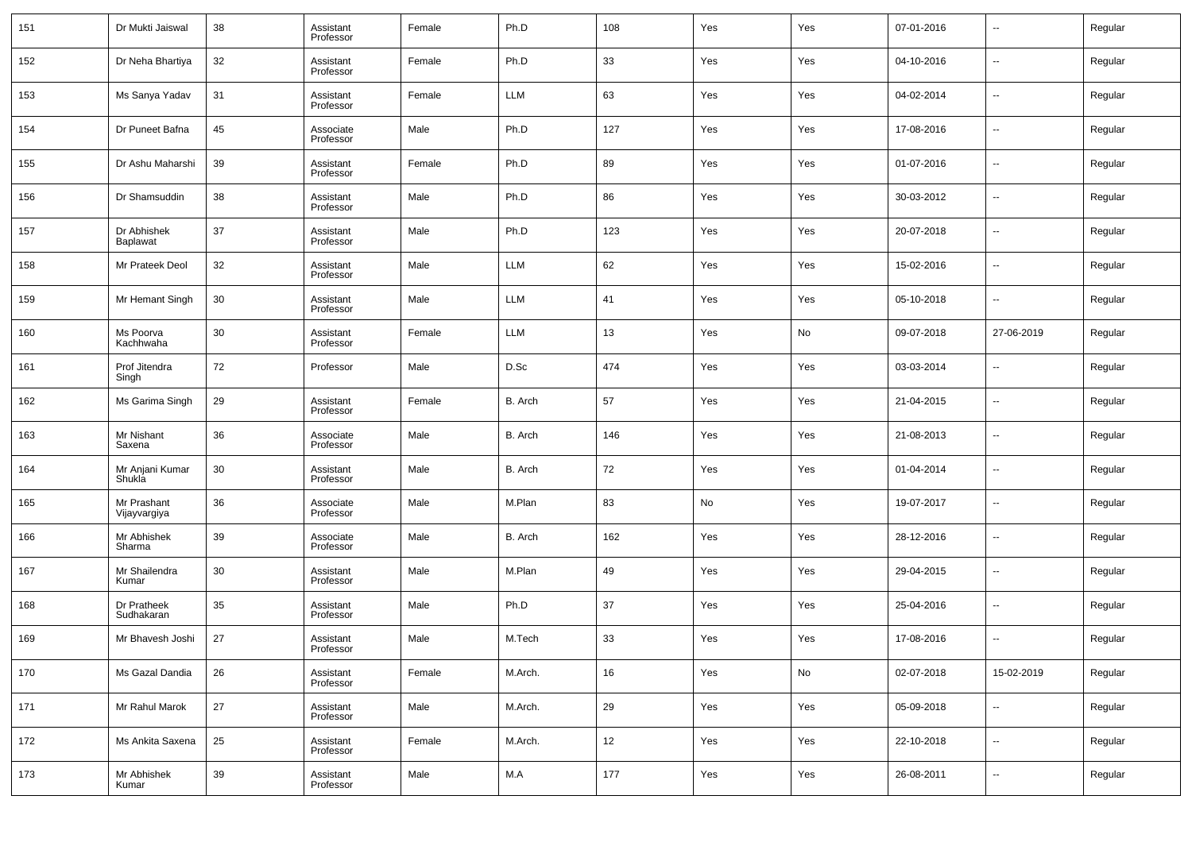| 151 | Dr Mukti Jaiswal               | 38 | Assistant<br>Professor | Female | Ph.D    | 108 | Yes | Yes | 07-01-2016 | $\sim$                   | Regular |
|-----|--------------------------------|----|------------------------|--------|---------|-----|-----|-----|------------|--------------------------|---------|
| 152 | Dr Neha Bhartiya               | 32 | Assistant<br>Professor | Female | Ph.D    | 33  | Yes | Yes | 04-10-2016 | $\sim$                   | Regular |
| 153 | Ms Sanya Yadav                 | 31 | Assistant<br>Professor | Female | LLM     | 63  | Yes | Yes | 04-02-2014 | $\sim$                   | Regular |
| 154 | Dr Puneet Bafna                | 45 | Associate<br>Professor | Male   | Ph.D    | 127 | Yes | Yes | 17-08-2016 | $\sim$                   | Regular |
| 155 | Dr Ashu Maharshi               | 39 | Assistant<br>Professor | Female | Ph.D    | 89  | Yes | Yes | 01-07-2016 | $\overline{\phantom{a}}$ | Regular |
| 156 | Dr Shamsuddin                  | 38 | Assistant<br>Professor | Male   | Ph.D    | 86  | Yes | Yes | 30-03-2012 | $\sim$                   | Regular |
| 157 | Dr Abhishek<br><b>Baplawat</b> | 37 | Assistant<br>Professor | Male   | Ph.D    | 123 | Yes | Yes | 20-07-2018 | $\overline{\phantom{a}}$ | Regular |
| 158 | Mr Prateek Deol                | 32 | Assistant<br>Professor | Male   | LLM     | 62  | Yes | Yes | 15-02-2016 | $\sim$                   | Regular |
| 159 | Mr Hemant Singh                | 30 | Assistant<br>Professor | Male   | LLM     | 41  | Yes | Yes | 05-10-2018 | $\overline{\phantom{a}}$ | Regular |
| 160 | Ms Poorva<br>Kachhwaha         | 30 | Assistant<br>Professor | Female | LLM     | 13  | Yes | No  | 09-07-2018 | 27-06-2019               | Regular |
| 161 | Prof Jitendra<br>Singh         | 72 | Professor              | Male   | D.Sc    | 474 | Yes | Yes | 03-03-2014 | --                       | Regular |
| 162 | Ms Garima Singh                | 29 | Assistant<br>Professor | Female | B. Arch | 57  | Yes | Yes | 21-04-2015 | $\sim$                   | Regular |
| 163 | Mr Nishant<br>Saxena           | 36 | Associate<br>Professor | Male   | B. Arch | 146 | Yes | Yes | 21-08-2013 | --                       | Regular |
| 164 | Mr Anjani Kumar<br>Shukla      | 30 | Assistant<br>Professor | Male   | B. Arch | 72  | Yes | Yes | 01-04-2014 | $\sim$                   | Regular |
| 165 | Mr Prashant<br>Vijayvargiya    | 36 | Associate<br>Professor | Male   | M.Plan  | 83  | No  | Yes | 19-07-2017 | --                       | Regular |
| 166 | Mr Abhishek<br>Sharma          | 39 | Associate<br>Professor | Male   | B. Arch | 162 | Yes | Yes | 28-12-2016 | --                       | Regular |
| 167 | Mr Shailendra<br>Kumar         | 30 | Assistant<br>Professor | Male   | M.Plan  | 49  | Yes | Yes | 29-04-2015 | --                       | Regular |
| 168 | Dr Pratheek<br>Sudhakaran      | 35 | Assistant<br>Professor | Male   | Ph.D    | 37  | Yes | Yes | 25-04-2016 | --                       | Regular |
| 169 | Mr Bhavesh Joshi               | 27 | Assistant<br>Professor | Male   | M.Tech  | 33  | Yes | Yes | 17-08-2016 | $\overline{a}$           | Regular |
| 170 | Ms Gazal Dandia                | 26 | Assistant<br>Professor | Female | M.Arch. | 16  | Yes | No  | 02-07-2018 | 15-02-2019               | Regular |
| 171 | Mr Rahul Marok                 | 27 | Assistant<br>Professor | Male   | M.Arch. | 29  | Yes | Yes | 05-09-2018 | $\overline{\phantom{a}}$ | Regular |
| 172 | Ms Ankita Saxena               | 25 | Assistant<br>Professor | Female | M.Arch. | 12  | Yes | Yes | 22-10-2018 | $\overline{\phantom{a}}$ | Regular |
| 173 | Mr Abhishek<br>Kumar           | 39 | Assistant<br>Professor | Male   | M.A     | 177 | Yes | Yes | 26-08-2011 | $\overline{\phantom{a}}$ | Regular |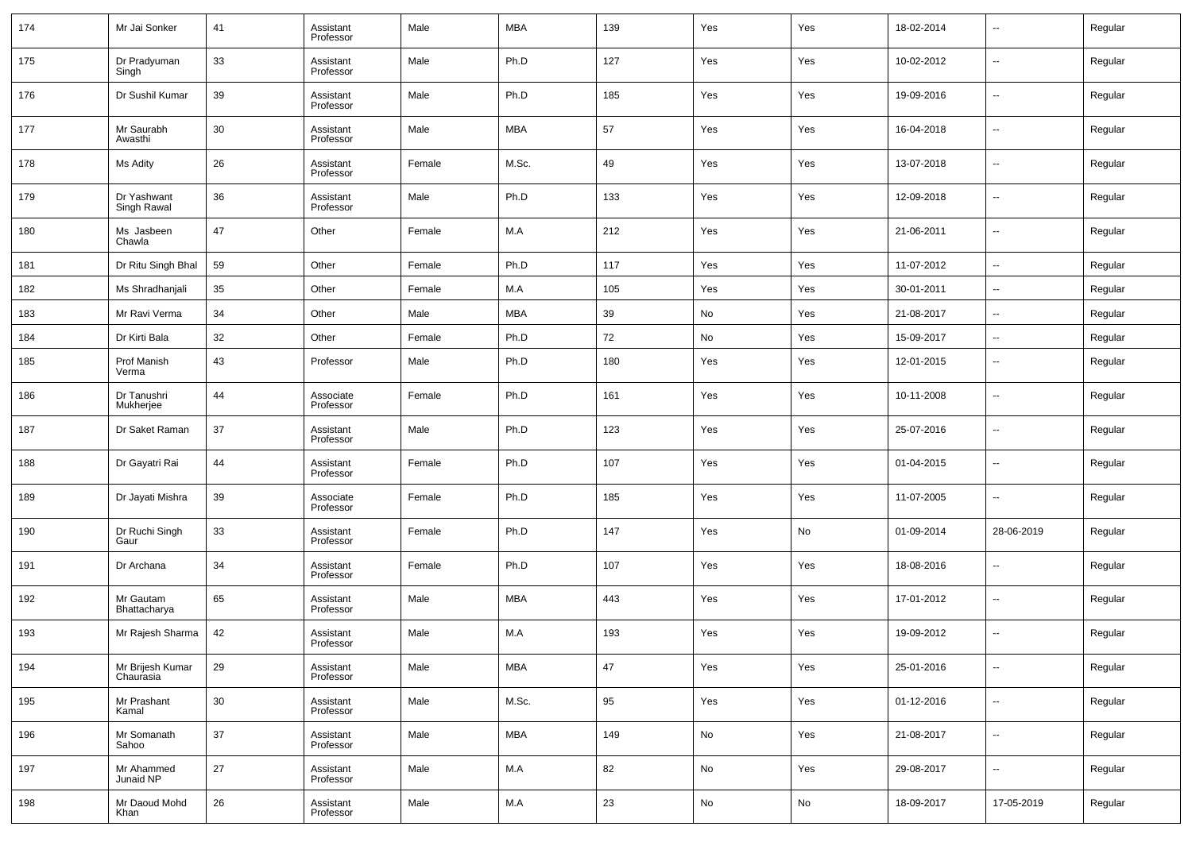| 174 | Mr Jai Sonker                 | 41 | Assistant<br>Professor | Male   | <b>MBA</b> | 139 | Yes | Yes | 18-02-2014 | $\overline{\phantom{a}}$ | Regular |
|-----|-------------------------------|----|------------------------|--------|------------|-----|-----|-----|------------|--------------------------|---------|
| 175 | Dr Pradyuman<br>Singh         | 33 | Assistant<br>Professor | Male   | Ph.D       | 127 | Yes | Yes | 10-02-2012 | $\overline{\phantom{a}}$ | Regular |
| 176 | Dr Sushil Kumar               | 39 | Assistant<br>Professor | Male   | Ph.D       | 185 | Yes | Yes | 19-09-2016 | --                       | Regular |
| 177 | Mr Saurabh<br>Awasthi         | 30 | Assistant<br>Professor | Male   | <b>MBA</b> | 57  | Yes | Yes | 16-04-2018 | $\overline{\phantom{a}}$ | Regular |
| 178 | Ms Adity                      | 26 | Assistant<br>Professor | Female | M.Sc.      | 49  | Yes | Yes | 13-07-2018 | $\overline{\phantom{a}}$ | Regular |
| 179 | Dr Yashwant<br>Singh Rawal    | 36 | Assistant<br>Professor | Male   | Ph.D       | 133 | Yes | Yes | 12-09-2018 | $\overline{\phantom{a}}$ | Regular |
| 180 | Ms Jasbeen<br>Chawla          | 47 | Other                  | Female | M.A        | 212 | Yes | Yes | 21-06-2011 | $\overline{\phantom{a}}$ | Regular |
| 181 | Dr Ritu Singh Bhal            | 59 | Other                  | Female | Ph.D       | 117 | Yes | Yes | 11-07-2012 | $\overline{\phantom{a}}$ | Regular |
| 182 | Ms Shradhanjali               | 35 | Other                  | Female | M.A        | 105 | Yes | Yes | 30-01-2011 | $\sim$                   | Regular |
| 183 | Mr Ravi Verma                 | 34 | Other                  | Male   | MBA        | 39  | No  | Yes | 21-08-2017 | ÷.                       | Regular |
| 184 | Dr Kirti Bala                 | 32 | Other                  | Female | Ph.D       | 72  | No  | Yes | 15-09-2017 | $\overline{\phantom{a}}$ | Regular |
| 185 | Prof Manish<br>Verma          | 43 | Professor              | Male   | Ph.D       | 180 | Yes | Yes | 12-01-2015 | --                       | Regular |
| 186 | Dr Tanushri<br>Mukherjee      | 44 | Associate<br>Professor | Female | Ph.D       | 161 | Yes | Yes | 10-11-2008 | $\overline{\phantom{a}}$ | Regular |
| 187 | Dr Saket Raman                | 37 | Assistant<br>Professor | Male   | Ph.D       | 123 | Yes | Yes | 25-07-2016 | $\overline{\phantom{a}}$ | Regular |
| 188 | Dr Gayatri Rai                | 44 | Assistant<br>Professor | Female | Ph.D       | 107 | Yes | Yes | 01-04-2015 | $\overline{\phantom{a}}$ | Regular |
| 189 | Dr Jayati Mishra              | 39 | Associate<br>Professor | Female | Ph.D       | 185 | Yes | Yes | 11-07-2005 | $\overline{\phantom{a}}$ | Regular |
| 190 | Dr Ruchi Singh<br>Gaur        | 33 | Assistant<br>Professor | Female | Ph.D       | 147 | Yes | No  | 01-09-2014 | 28-06-2019               | Regular |
| 191 | Dr Archana                    | 34 | Assistant<br>Professor | Female | Ph.D       | 107 | Yes | Yes | 18-08-2016 | --                       | Regular |
| 192 | Mr Gautam<br>Bhattacharya     | 65 | Assistant<br>Professor | Male   | <b>MBA</b> | 443 | Yes | Yes | 17-01-2012 | $\overline{\phantom{a}}$ | Regular |
| 193 | Mr Rajesh Sharma              | 42 | Assistant<br>Professor | Male   | M.A        | 193 | Yes | Yes | 19-09-2012 | --                       | Regular |
| 194 | Mr Brijesh Kumar<br>Chaurasia | 29 | Assistant<br>Professor | Male   | MBA        | 47  | Yes | Yes | 25-01-2016 | $\overline{\phantom{a}}$ | Regular |
| 195 | Mr Prashant<br>Kamal          | 30 | Assistant<br>Professor | Male   | M.Sc.      | 95  | Yes | Yes | 01-12-2016 | −−                       | Regular |
| 196 | Mr Somanath<br>Sahoo          | 37 | Assistant<br>Professor | Male   | <b>MBA</b> | 149 | No  | Yes | 21-08-2017 | ÷.                       | Regular |
| 197 | Mr Ahammed<br>Junaid NP       | 27 | Assistant<br>Professor | Male   | M.A        | 82  | No  | Yes | 29-08-2017 | н.                       | Regular |
| 198 | Mr Daoud Mohd<br>Khan         | 26 | Assistant<br>Professor | Male   | M.A        | 23  | No  | No  | 18-09-2017 | 17-05-2019               | Regular |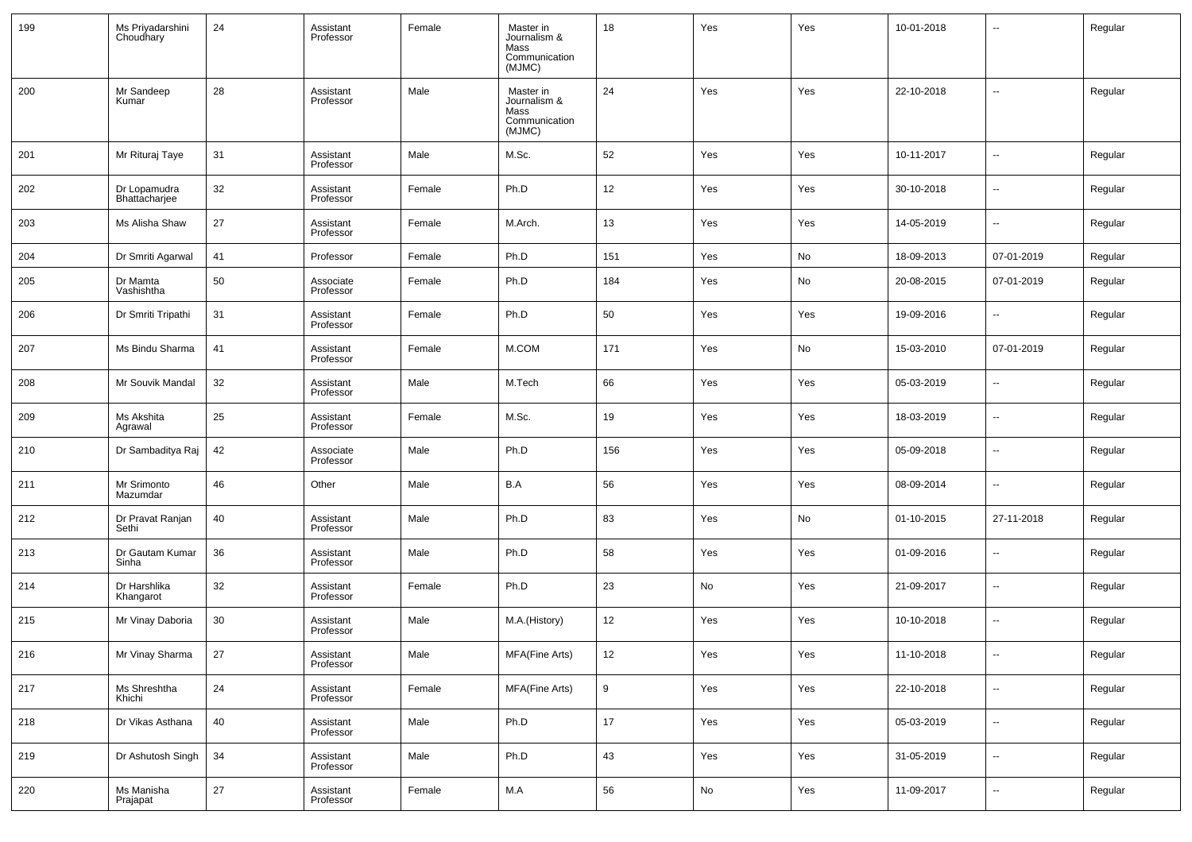| 199 | Ms Priyadarshini<br>Choudhary | 24 | Assistant<br>Professor | Female | Master in<br>Journalism &<br>Mass<br>Communication<br>(MJMC) | 18  | Yes | Yes | 10-01-2018 | --                       | Regular |
|-----|-------------------------------|----|------------------------|--------|--------------------------------------------------------------|-----|-----|-----|------------|--------------------------|---------|
| 200 | Mr Sandeep<br>Kumar           | 28 | Assistant<br>Professor | Male   | Master in<br>Journalism &<br>Mass<br>Communication<br>(MJMC) | 24  | Yes | Yes | 22-10-2018 | --                       | Regular |
| 201 | Mr Rituraj Taye               | 31 | Assistant<br>Professor | Male   | M.Sc.                                                        | 52  | Yes | Yes | 10-11-2017 | $\overline{\phantom{a}}$ | Regular |
| 202 | Dr Lopamudra<br>Bhattacharjee | 32 | Assistant<br>Professor | Female | Ph.D                                                         | 12  | Yes | Yes | 30-10-2018 | $\overline{\phantom{a}}$ | Regular |
| 203 | Ms Alisha Shaw                | 27 | Assistant<br>Professor | Female | M.Arch.                                                      | 13  | Yes | Yes | 14-05-2019 | $\overline{\phantom{a}}$ | Regular |
| 204 | Dr Smriti Agarwal             | 41 | Professor              | Female | Ph.D                                                         | 151 | Yes | No  | 18-09-2013 | 07-01-2019               | Regular |
| 205 | Dr Mamta<br>Vashishtha        | 50 | Associate<br>Professor | Female | Ph.D                                                         | 184 | Yes | No  | 20-08-2015 | 07-01-2019               | Regular |
| 206 | Dr Smriti Tripathi            | 31 | Assistant<br>Professor | Female | Ph.D                                                         | 50  | Yes | Yes | 19-09-2016 | $\overline{\phantom{a}}$ | Regular |
| 207 | Ms Bindu Sharma               | 41 | Assistant<br>Professor | Female | M.COM                                                        | 171 | Yes | No  | 15-03-2010 | 07-01-2019               | Regular |
| 208 | Mr Souvik Mandal              | 32 | Assistant<br>Professor | Male   | M.Tech                                                       | 66  | Yes | Yes | 05-03-2019 | $\overline{\phantom{a}}$ | Regular |
| 209 | Ms Akshita<br>Agrawal         | 25 | Assistant<br>Professor | Female | M.Sc.                                                        | 19  | Yes | Yes | 18-03-2019 | $\overline{\phantom{a}}$ | Regular |
| 210 | Dr Sambaditya Raj             | 42 | Associate<br>Professor | Male   | Ph.D                                                         | 156 | Yes | Yes | 05-09-2018 | $\overline{\phantom{a}}$ | Regular |
| 211 | Mr Srimonto<br>Mazumdar       | 46 | Other                  | Male   | B.A                                                          | 56  | Yes | Yes | 08-09-2014 | $\overline{\phantom{a}}$ | Regular |
| 212 | Dr Pravat Ranjan<br>Sethi     | 40 | Assistant<br>Professor | Male   | Ph.D                                                         | 83  | Yes | No  | 01-10-2015 | 27-11-2018               | Regular |
| 213 | Dr Gautam Kumar<br>Sinha      | 36 | Assistant<br>Professor | Male   | Ph.D                                                         | 58  | Yes | Yes | 01-09-2016 | $\overline{\phantom{a}}$ | Regular |
| 214 | Dr Harshlika<br>Khangarot     | 32 | Assistant<br>Professor | Female | Ph.D                                                         | 23  | No  | Yes | 21-09-2017 | $\overline{\phantom{a}}$ | Regular |
| 215 | Mr Vinay Daboria              | 30 | Assistant<br>Professor | Male   | M.A.(History)                                                | 12  | Yes | Yes | 10-10-2018 | $\overline{\phantom{a}}$ | Regular |
| 216 | Mr Vinay Sharma               | 27 | Assistant<br>Professor | Male   | MFA(Fine Arts)                                               | 12  | Yes | Yes | 11-10-2018 | $\overline{\phantom{a}}$ | Regular |
| 217 | Ms Shreshtha<br>Khichi        | 24 | Assistant<br>Professor | Female | MFA(Fine Arts)                                               | 9   | Yes | Yes | 22-10-2018 | $\overline{\phantom{a}}$ | Regular |
| 218 | Dr Vikas Asthana              | 40 | Assistant<br>Professor | Male   | Ph.D                                                         | 17  | Yes | Yes | 05-03-2019 | $\overline{\phantom{a}}$ | Regular |
| 219 | Dr Ashutosh Singh             | 34 | Assistant<br>Professor | Male   | Ph.D                                                         | 43  | Yes | Yes | 31-05-2019 | $\overline{\phantom{a}}$ | Regular |
| 220 | Ms Manisha<br>Prajapat        | 27 | Assistant<br>Professor | Female | M.A                                                          | 56  | No  | Yes | 11-09-2017 | $\overline{\phantom{a}}$ | Regular |